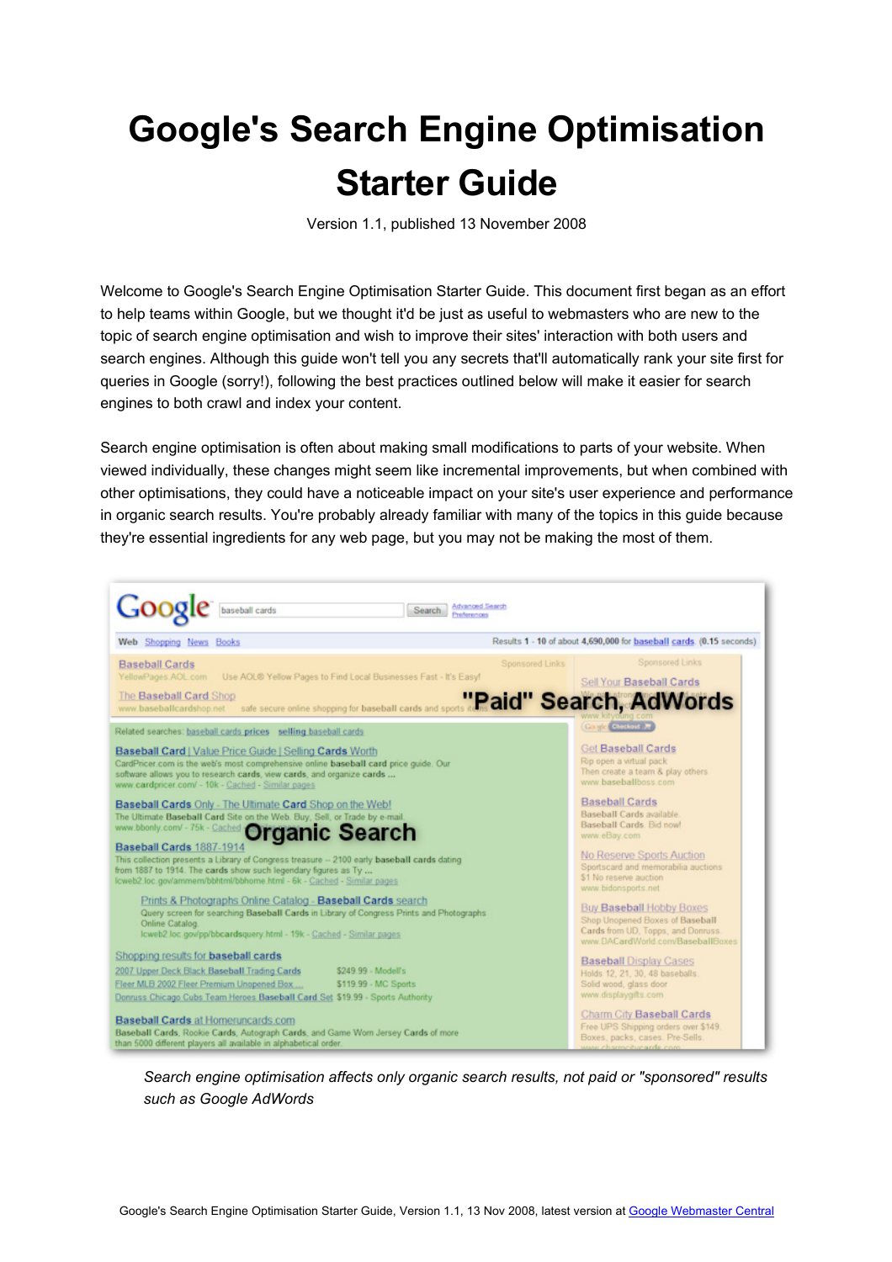# **Google's Search Engine Optimisation Starter Guide**

Version 1.1, published 13 November 2008

Welcome to Google's Search Engine Optimisation Starter Guide. This document first began as an effort to help teams within Google, but we thought it'd be just as useful to webmasters who are new to the topic of search engine optimisation and wish to improve their sites' interaction with both users and search engines. Although this guide won't tell you any secrets that'll automatically rank your site first for queries in Google (sorry!), following the best practices outlined below will make it easier for search engines to both crawl and index your content.

Search engine optimisation is often about making small modifications to parts of your website. When viewed individually, these changes might seem like incremental improvements, but when combined with other optimisations, they could have a noticeable impact on your site's user experience and performance in organic search results. You're probably already familiar with many of the topics in this guide because they're essential ingredients for any web page, but you may not be making the most of them.



*Search engine optimisation affects only organic search results, not paid or "sponsored" results such as Google AdWords*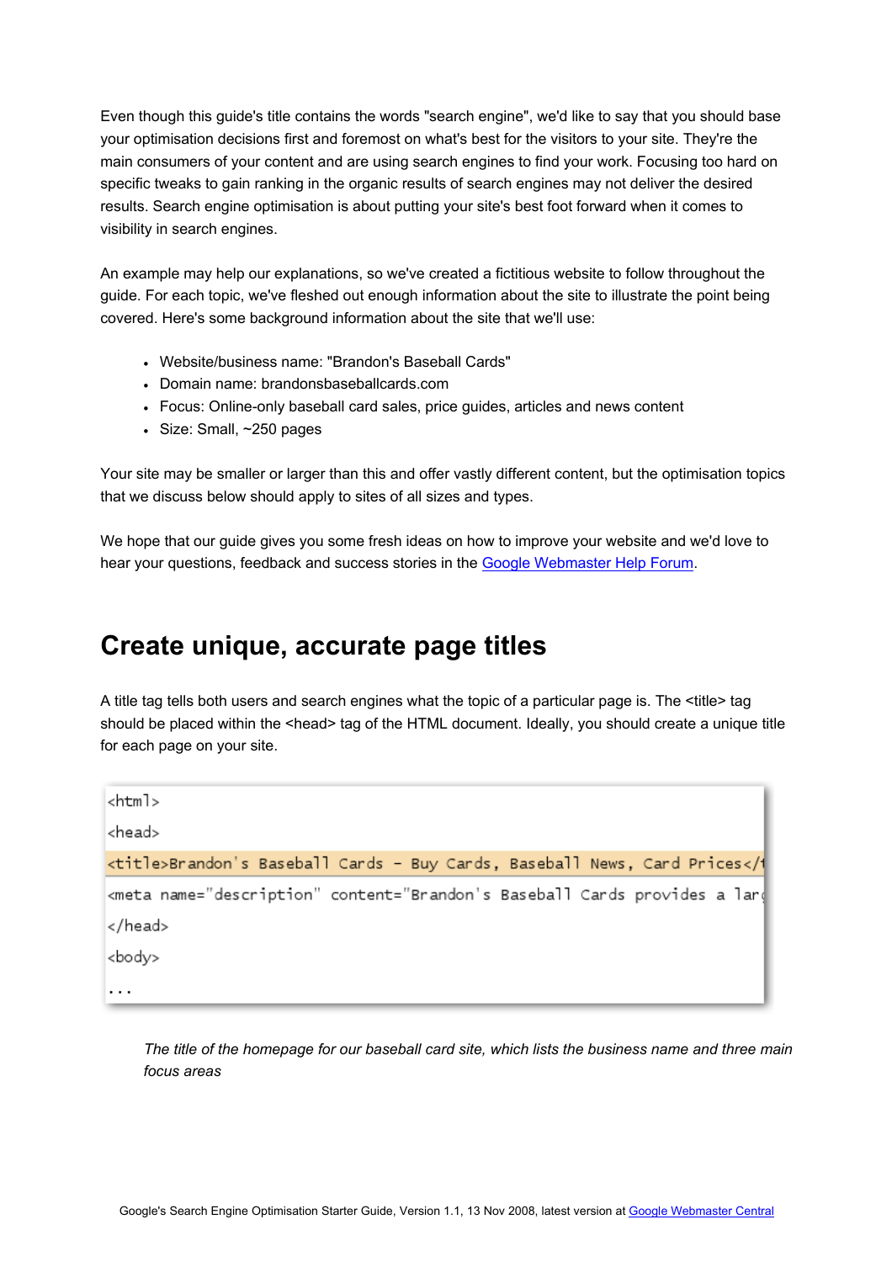Even though this guide's title contains the words "search engine", we'd like to say that you should base your optimisation decisions first and foremost on what's best for the visitors to your site. They're the main consumers of your content and are using search engines to find your work. Focusing too hard on specific tweaks to gain ranking in the organic results of search engines may not deliver the desired results. Search engine optimisation is about putting your site's best foot forward when it comes to visibility in search engines.

An example may help our explanations, so we've created a fictitious website to follow throughout the guide. For each topic, we've fleshed out enough information about the site to illustrate the point being covered. Here's some background information about the site that we'll use:

- Website/business name: "Brandon's Baseball Cards"
- Domain name: brandonsbaseballcards.com
- Focus: Online-only baseball card sales, price guides, articles and news content
- Size: Small, ~250 pages

Your site may be smaller or larger than this and offer vastly different content, but the optimisation topics that we discuss below should apply to sites of all sizes and types.

We hope that our guide gives you some fresh ideas on how to improve your website and we'd love to hear your questions, feedback and success stories in the [Google Webmaster Help Forum.](http://www.google.com/support/forum/p/Webmasters?hl=en)

### **Create unique, accurate page titles**

A title tag tells both users and search engines what the topic of a particular page is. The <title> tag should be placed within the <head> tag of the HTML document. Ideally, you should create a unique title for each page on your site.

```
<html>
<head>
<title>Brandon's Baseball Cards - Buy Cards, Baseball News, Card Prices</1
<meta name="description" content="Brandon's Baseball Cards provides a lard
</head>
<body>
\overline{\phantom{a}}
```
*The title of the homepage for our baseball card site, which lists the business name and three main focus areas*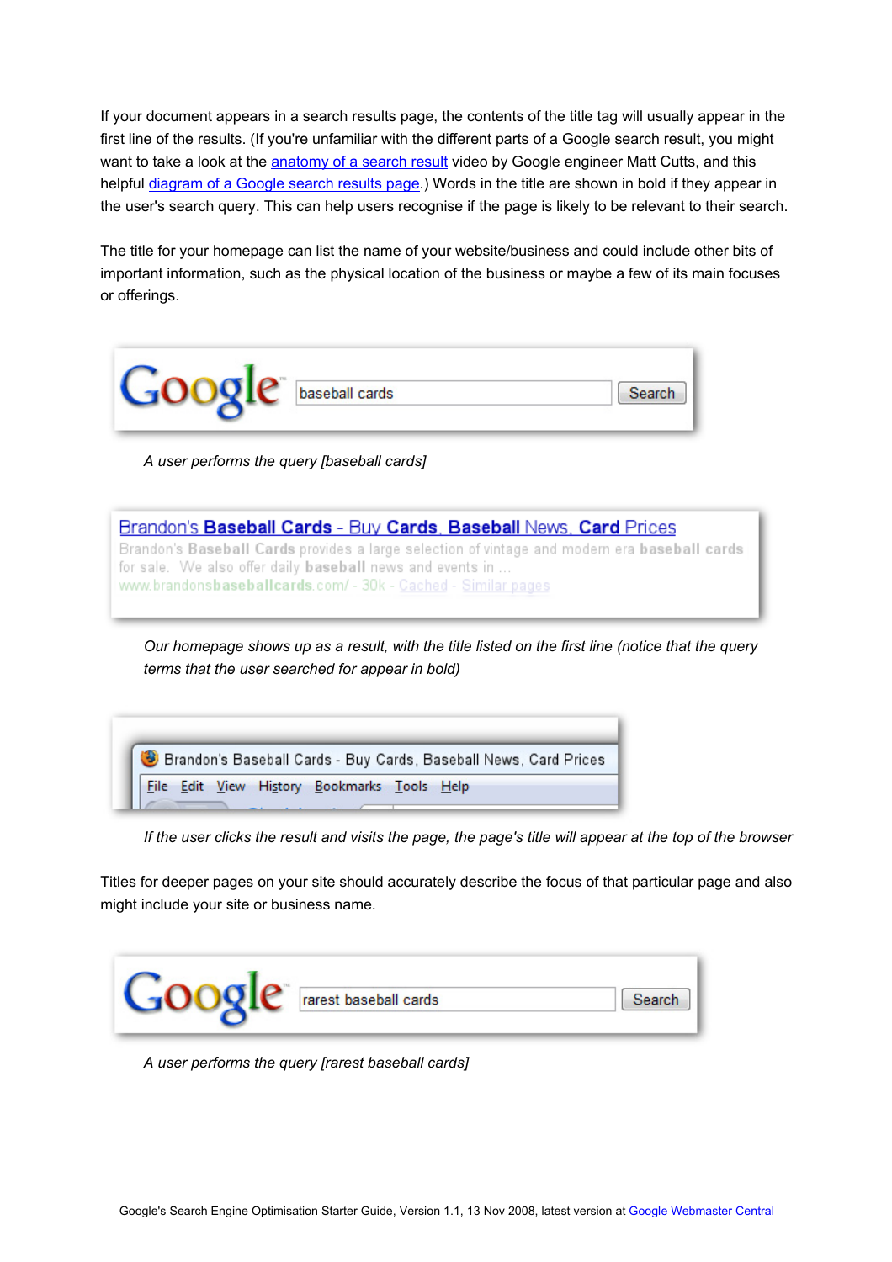If your document appears in a search results page, the contents of the title tag will usually appear in the first line of the results. (If you're unfamiliar with the different parts of a Google search result, you might want to take a look at the [anatomy of a search result](http://googlewebmastercentral.blogspot.com/2007/11/anatomy-of-search-result.html) video by Google engineer Matt Cutts, and this helpful [diagram of a Google search results page.](http://www.google.com/support/bin/static.py?page=searchguides.html&ctx=results)) Words in the title are shown in bold if they appear in the user's search query. This can help users recognise if the page is likely to be relevant to their search.

The title for your homepage can list the name of your website/business and could include other bits of important information, such as the physical location of the business or maybe a few of its main focuses or offerings.



*A user performs the query [baseball cards]* 



*Our homepage shows up as a result, with the title listed on the first line (notice that the query terms that the user searched for appear in bold)* 



*If the user clicks the result and visits the page, the page's title will appear at the top of the browser* 

Titles for deeper pages on your site should accurately describe the focus of that particular page and also might include your site or business name.

| rarest baseball cards |  |
|-----------------------|--|
|                       |  |

*A user performs the query [rarest baseball cards]*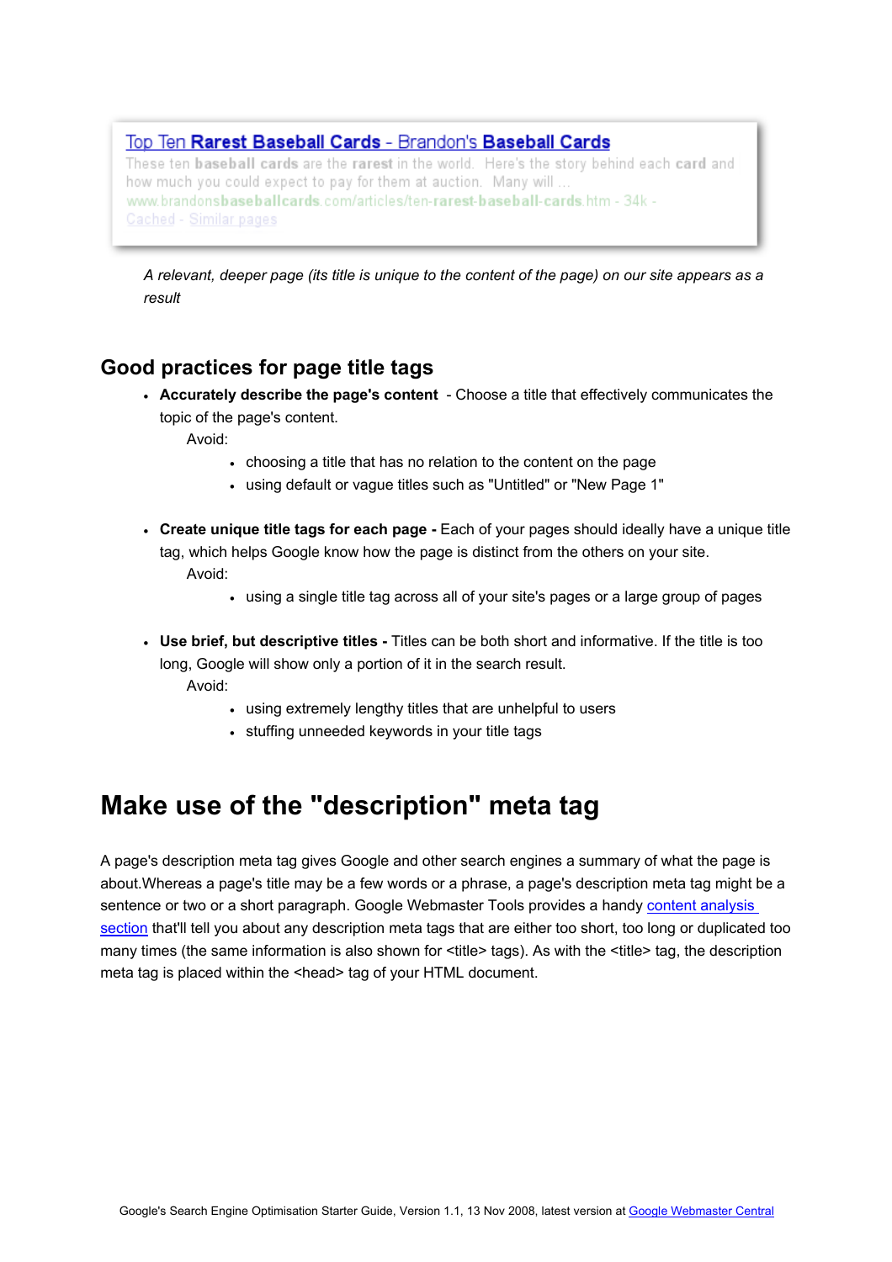#### Top Ten Rarest Baseball Cards - Brandon's Baseball Cards

These ten baseball cards are the rarest in the world. Here's the story behind each card and how much you could expect to pay for them at auction. Many will ... www.brandonsbaseballcards.com/articles/ten-rarest-baseball-cards.htm - 34k -Cached - Similar pages

*A relevant, deeper page (its title is unique to the content of the page) on our site appears as a result*

#### **Good practices for page title tags**

• **Accurately describe the page's content** - Choose a title that effectively communicates the topic of the page's content.

Avoid:

- choosing a title that has no relation to the content on the page
- using default or vague titles such as "Untitled" or "New Page 1"
- **Create unique title tags for each page** Each of your pages should ideally have a unique title tag, which helps Google know how the page is distinct from the others on your site.

Avoid:

- using a single title tag across all of your site's pages or a large group of pages
- **Use brief, but descriptive titles** Titles can be both short and informative. If the title is too long, Google will show only a portion of it in the search result.

Avoid:

- using extremely lengthy titles that are unhelpful to users
- stuffing unneeded keywords in your title tags

### **Make use of the "description" meta tag**

A page's description meta tag gives Google and other search engines a summary of what the page is about.Whereas a page's title may be a few words or a phrase, a page's description meta tag might be a sentence or two or a short paragraph. Google Webmaster Tools provides a handy content analysis [section](http://googlewebmastercentral.blogspot.com/2007/12/new-content-analysis-and-sitemap.html) that'll tell you about any description meta tags that are either too short, too long or duplicated too many times (the same information is also shown for <title> tags). As with the <title> tag, the description meta tag is placed within the <head> tag of your HTML document.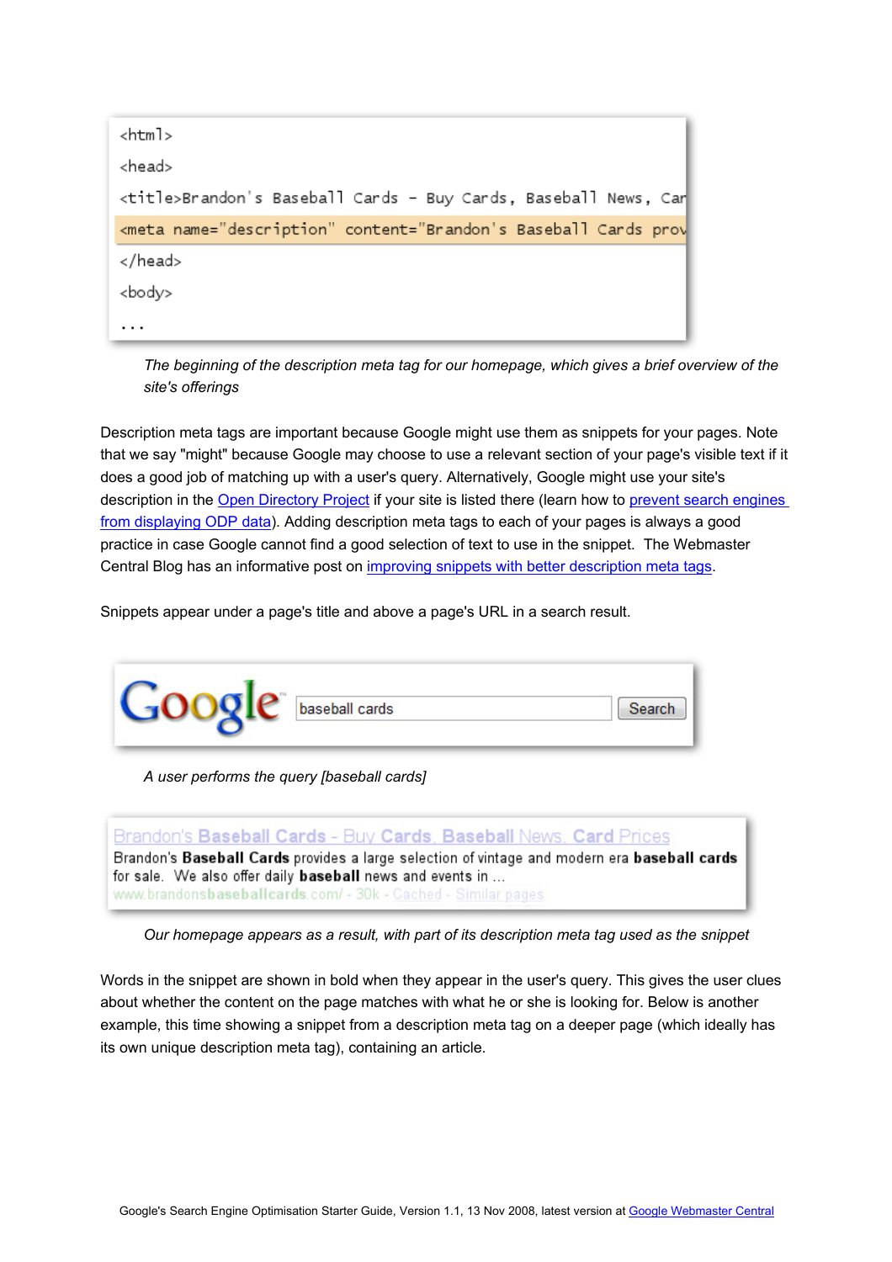```
<html>
<head>
<title>Brandon's Baseball Cards - Buy Cards, Baseball News, Car
<meta name="description" content="Brandon's Baseball Cards prov
</head>
<body>
\sim \sim \sim
```
*The beginning of the description meta tag for our homepage, which gives a brief overview of the site's offerings* 

Description meta tags are important because Google might use them as snippets for your pages. Note that we say "might" because Google may choose to use a relevant section of your page's visible text if it does a good job of matching up with a user's query. Alternatively, Google might use your site's description in the [Open Directory Project](http://www.dmoz.org/) if your site is listed there (learn how to prevent search engines [from displaying ODP data\)](http://www.google.com/support/webmasters/bin/answer.py?answer=35264). Adding description meta tags to each of your pages is always a good practice in case Google cannot find a good selection of text to use in the snippet. The Webmaster Central Blog has an informative post on [improving snippets with better description meta tags.](http://googlewebmastercentral.blogspot.com/2007/09/improve-snippets-with-meta-description.html)

Snippets appear under a page's title and above a page's URL in a search result.



*A user performs the query [baseball cards]* 

Brandon's Baseball Cards - Buy Cards, Baseball News, Card Prices Brandon's Baseball Cards provides a large selection of vintage and modern era baseball cards for sale. We also offer daily **baseball** news and events in ... www.brandonsbaseballcards.com/ - 30k - Cached - Similar pages

*Our homepage appears as a result, with part of its description meta tag used as the snippet* 

Words in the snippet are shown in bold when they appear in the user's query. This gives the user clues about whether the content on the page matches with what he or she is looking for. Below is another example, this time showing a snippet from a description meta tag on a deeper page (which ideally has its own unique description meta tag), containing an article.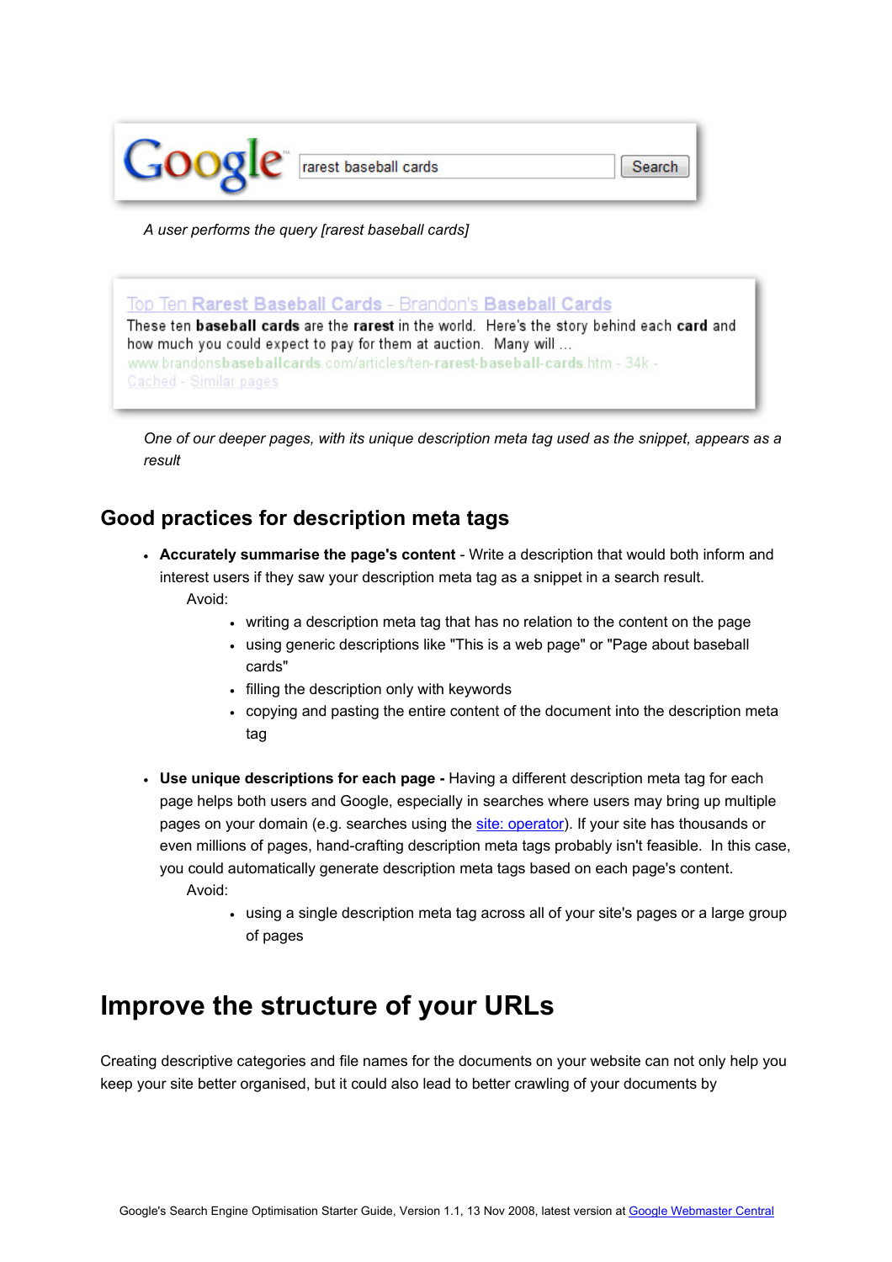

*A user performs the query [rarest baseball cards]* 

#### Top Ten Rarest Baseball Cards - Brandon's Baseball Cards

These ten baseball cards are the rarest in the world. Here's the story behind each card and how much you could expect to pay for them at auction. Many will ... www.brandonsbaseballcards.com/articles/ten-rarest-baseball-cards.htm - 34k -Cached - Similar pages

*One of our deeper pages, with its unique description meta tag used as the snippet, appears as a result* 

#### **Good practices for description meta tags**

- **Accurately summarise the page's content**  Write a description that would both inform and interest users if they saw your description meta tag as a snippet in a search result. Avoid:
	- writing a description meta tag that has no relation to the content on the page
	- using generic descriptions like "This is a web page" or "Page about baseball cards"
	- filling the description only with keywords
	- copying and pasting the entire content of the document into the description meta tag
- **Use unique descriptions for each page** Having a different description meta tag for each page helps both users and Google, especially in searches where users may bring up multiple pages on your domain (e.g. searches using the [site: operator](http://www.brianwhite.org/2007/04/27/google-site-operator-an-ode-to-thee/)). If your site has thousands or even millions of pages, hand-crafting description meta tags probably isn't feasible. In this case, you could automatically generate description meta tags based on each page's content. Avoid:
	- using a single description meta tag across all of your site's pages or a large group of pages

### **Improve the structure of your URLs**

Creating descriptive categories and file names for the documents on your website can not only help you keep your site better organised, but it could also lead to better crawling of your documents by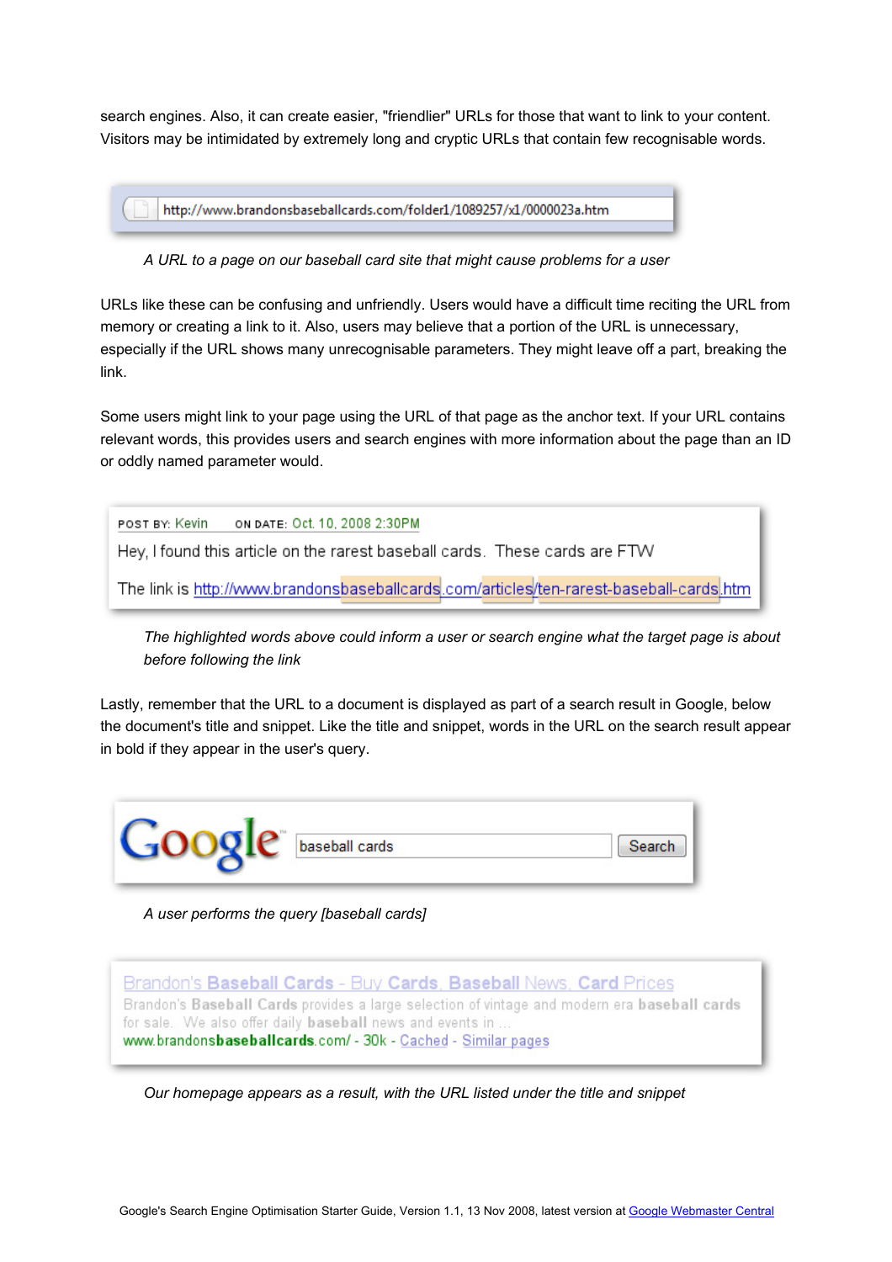search engines. Also, it can create easier, "friendlier" URLs for those that want to link to your content. Visitors may be intimidated by extremely long and cryptic URLs that contain few recognisable words.

http://www.brandonsbaseballcards.com/folder1/1089257/x1/0000023a.htm

*A URL to a page on our baseball card site that might cause problems for a user* 

URLs like these can be confusing and unfriendly. Users would have a difficult time reciting the URL from memory or creating a link to it. Also, users may believe that a portion of the URL is unnecessary, especially if the URL shows many unrecognisable parameters. They might leave off a part, breaking the link.

Some users might link to your page using the URL of that page as the anchor text. If your URL contains relevant words, this provides users and search engines with more information about the page than an ID or oddly named parameter would.

POST BY: Kevin ON DATE: Oct. 10, 2008 2:30PM

Hey, I found this article on the rarest baseball cards. These cards are FTW

The link is http://www.brandonsbaseballcards.com/articles/ten-rarest-baseball-cards.htm

*The highlighted words above could inform a user or search engine what the target page is about before following the link* 

Lastly, remember that the URL to a document is displayed as part of a search result in Google, below the document's title and snippet. Like the title and snippet, words in the URL on the search result appear in bold if they appear in the user's query.



*A user performs the query [baseball cards]* 

Brandon's Baseball Cards - Buy Cards, Baseball News, Card Prices Brandon's Baseball Cards provides a large selection of vintage and modern era baseball cards for sale. We also offer daily baseball news and events in ... www.brandonsbaseballcards.com/ - 30k - Cached - Similar pages

*Our homepage appears as a result, with the URL listed under the title and snippet*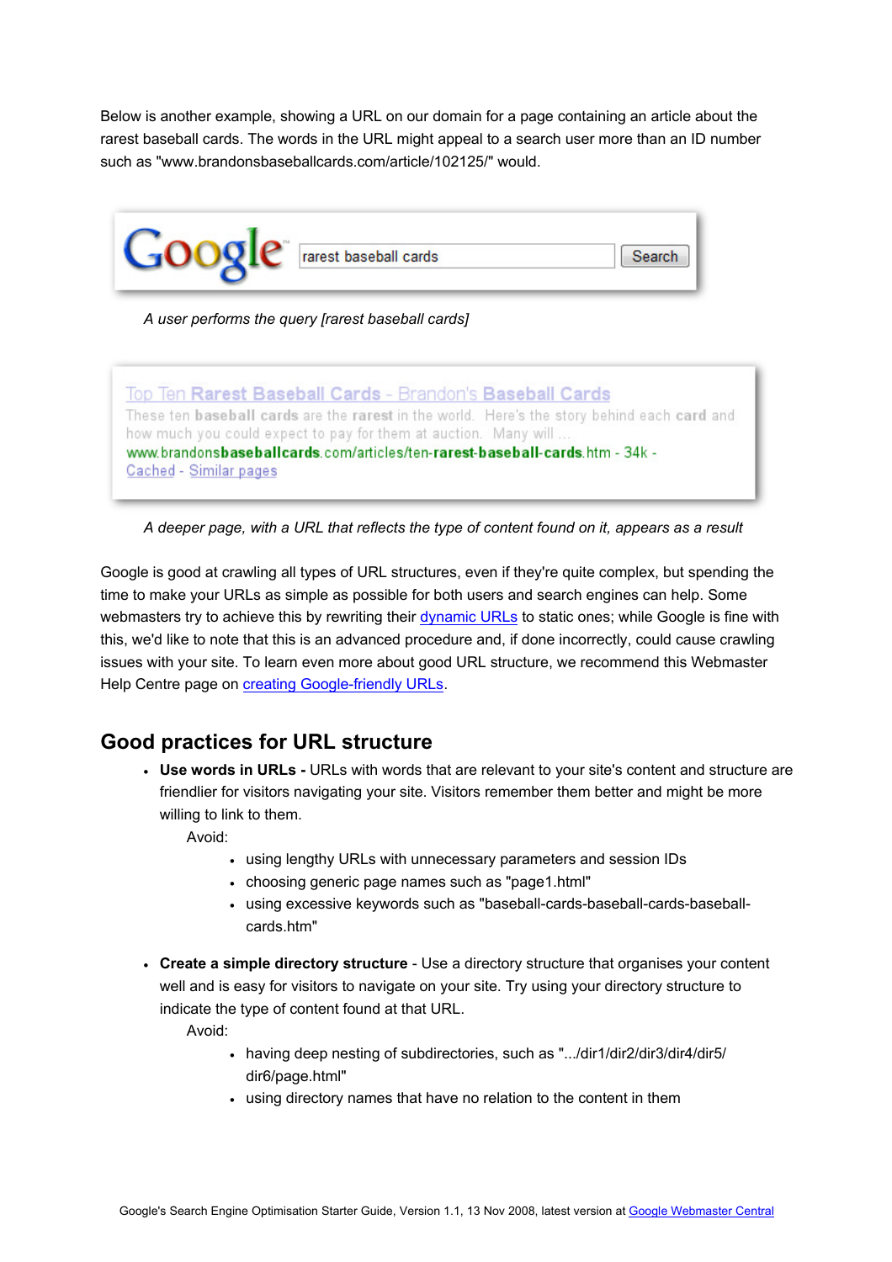Below is another example, showing a URL on our domain for a page containing an article about the rarest baseball cards. The words in the URL might appeal to a search user more than an ID number such as "www.brandonsbaseballcards.com/article/102125/" would.



*A user performs the query [rarest baseball cards]* 



*A deeper page, with a URL that reflects the type of content found on it, appears as a result* 

Google is good at crawling all types of URL structures, even if they're quite complex, but spending the time to make your URLs as simple as possible for both users and search engines can help. Some webmasters try to achieve this by rewriting their [dynamic URLs](http://www.google.com/support/webmasters/bin/answer.py?answer=34431) to static ones; while Google is fine with this, we'd like to note that this is an advanced procedure and, if done incorrectly, could cause crawling issues with your site. To learn even more about good URL structure, we recommend this Webmaster Help Centre page on [creating Google-friendly URLs.](http://www.google.com/support/webmasters/bin/answer.py?answer=76329)

### **Good practices for URL structure**

• **Use words in URLs -** URLs with words that are relevant to your site's content and structure are friendlier for visitors navigating your site. Visitors remember them better and might be more willing to link to them.

Avoid:

- using lengthy URLs with unnecessary parameters and session IDs
- choosing generic page names such as "page1.html"
- using excessive keywords such as "baseball-cards-baseball-cards-baseballcards.htm"
- **Create a simple directory structure**  Use a directory structure that organises your content well and is easy for visitors to navigate on your site. Try using your directory structure to indicate the type of content found at that URL.

- having deep nesting of subdirectories, such as ".../dir1/dir2/dir3/dir4/dir5/ dir6/page.html"
- using directory names that have no relation to the content in them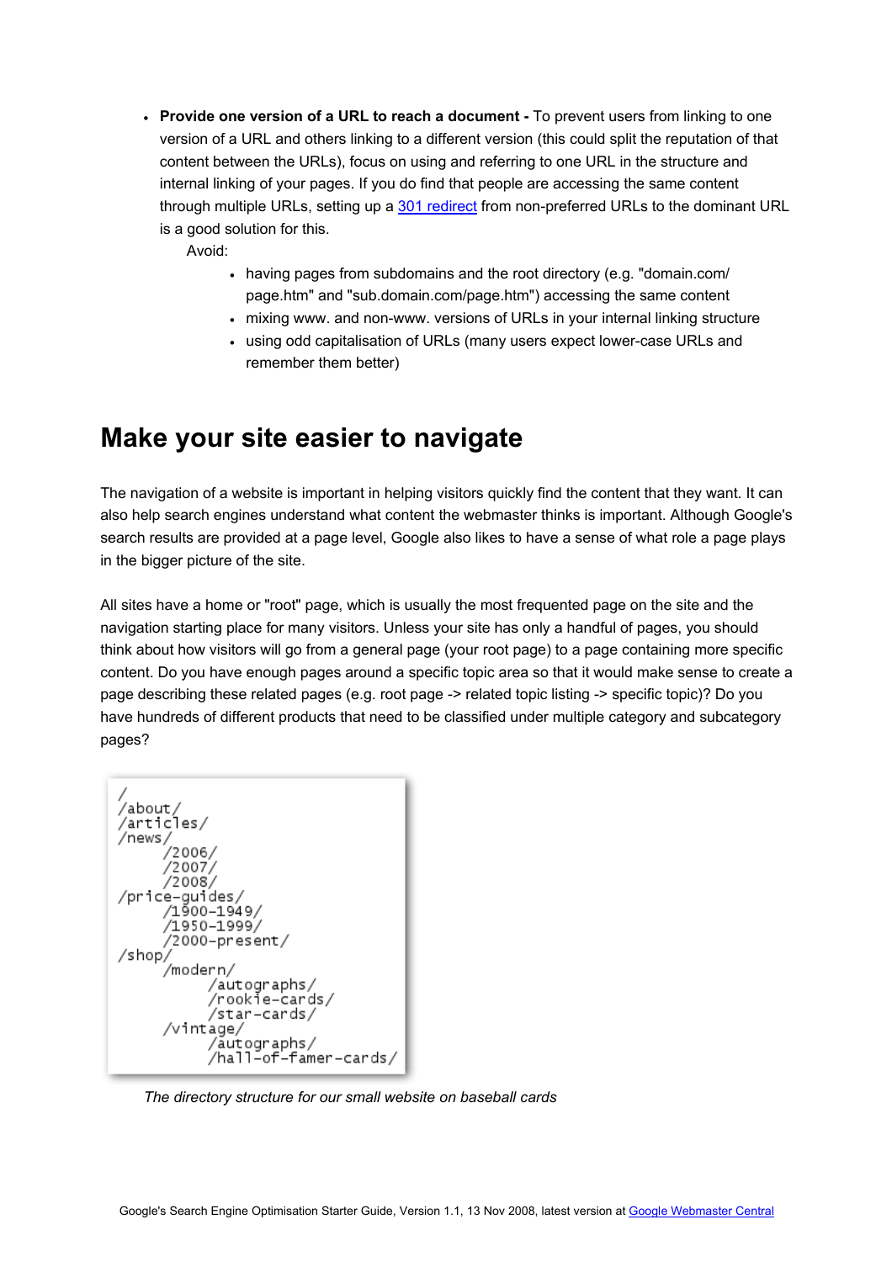• **Provide one version of a URL to reach a document -** To prevent users from linking to one version of a URL and others linking to a different version (this could split the reputation of that content between the URLs), focus on using and referring to one URL in the structure and internal linking of your pages. If you do find that people are accessing the same content through multiple URLs, setting up a [301 redirect](http://www.google.com/support/webmasters/bin/answer.py?answer=93633) from non-preferred URLs to the dominant URL is a good solution for this.

Avoid:

- having pages from subdomains and the root directory (e.g. "domain.com/ page.htm" and "sub.domain.com/page.htm") accessing the same content
- mixing www. and non-www. versions of URLs in your internal linking structure
- using odd capitalisation of URLs (many users expect lower-case URLs and remember them better)

### **Make your site easier to navigate**

The navigation of a website is important in helping visitors quickly find the content that they want. It can also help search engines understand what content the webmaster thinks is important. Although Google's search results are provided at a page level, Google also likes to have a sense of what role a page plays in the bigger picture of the site.

All sites have a home or "root" page, which is usually the most frequented page on the site and the navigation starting place for many visitors. Unless your site has only a handful of pages, you should think about how visitors will go from a general page (your root page) to a page containing more specific content. Do you have enough pages around a specific topic area so that it would make sense to create a page describing these related pages (e.g. root page -> related topic listing -> specific topic)? Do you have hundreds of different products that need to be classified under multiple category and subcategory pages?



*The directory structure for our small website on baseball cards*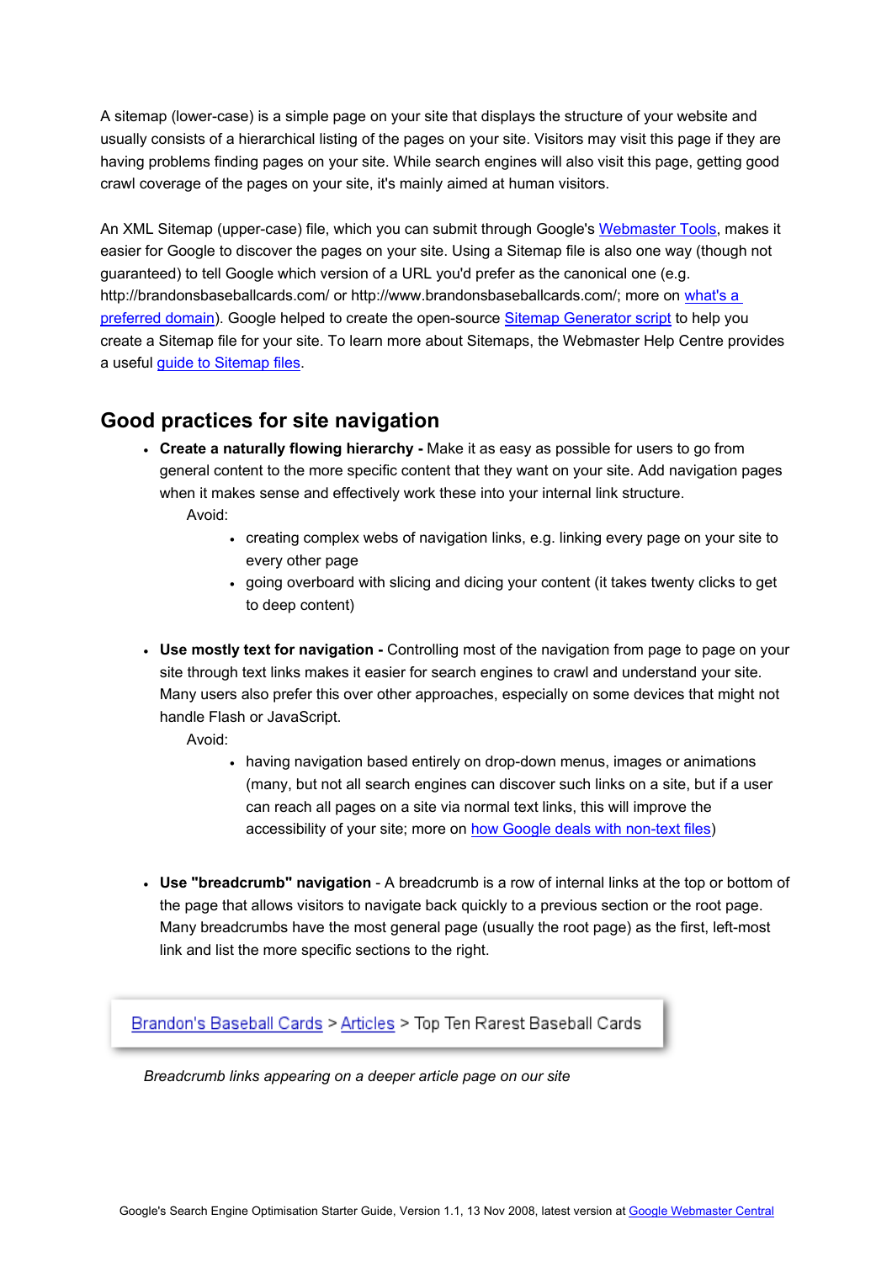A sitemap (lower-case) is a simple page on your site that displays the structure of your website and usually consists of a hierarchical listing of the pages on your site. Visitors may visit this page if they are having problems finding pages on your site. While search engines will also visit this page, getting good crawl coverage of the pages on your site, it's mainly aimed at human visitors.

An XML Sitemap (upper-case) file, which you can submit through Google's [Webmaster Tools](https://www.google.com/webmasters/tools/), makes it easier for Google to discover the pages on your site. Using a Sitemap file is also one way (though not guaranteed) to tell Google which version of a URL you'd prefer as the canonical one (e.g. http://brandonsbaseballcards.com/ or http://www.brandonsbaseballcards.com/; more on [what's a](http://www.google.com/support/webmasters/bin/answer.py?answer=44231)  [preferred domain](http://www.google.com/support/webmasters/bin/answer.py?answer=44231)). Google helped to create the open-source [Sitemap Generator script](https://www.google.com/webmasters/tools/docs/en/sitemap-generator.html) to help you create a Sitemap file for your site. To learn more about Sitemaps, the Webmaster Help Centre provides a useful [guide to Sitemap files](http://www.google.com/support/webmasters/bin/answer.py?answer=40318).

#### **Good practices for site navigation**

- **Create a naturally flowing hierarchy** Make it as easy as possible for users to go from general content to the more specific content that they want on your site. Add navigation pages when it makes sense and effectively work these into your internal link structure. Avoid:
	- creating complex webs of navigation links, e.g. linking every page on your site to every other page
	- going overboard with slicing and dicing your content (it takes twenty clicks to get to deep content)
- **Use mostly text for navigation** Controlling most of the navigation from page to page on your site through text links makes it easier for search engines to crawl and understand your site. Many users also prefer this over other approaches, especially on some devices that might not handle Flash or JavaScript.

Avoid:

- having navigation based entirely on drop-down menus, images or animations (many, but not all search engines can discover such links on a site, but if a user can reach all pages on a site via normal text links, this will improve the accessibility of your site; more on [how Google deals with non-text files](http://www.google.com/support/webmasters/bin/answer.py?answer=72746))
- **Use "breadcrumb" navigation**  A breadcrumb is a row of internal links at the top or bottom of the page that allows visitors to navigate back quickly to a previous section or the root page. Many breadcrumbs have the most general page (usually the root page) as the first, left-most link and list the more specific sections to the right.

Brandon's Baseball Cards > Articles > Top Ten Rarest Baseball Cards

*Breadcrumb links appearing on a deeper article page on our site*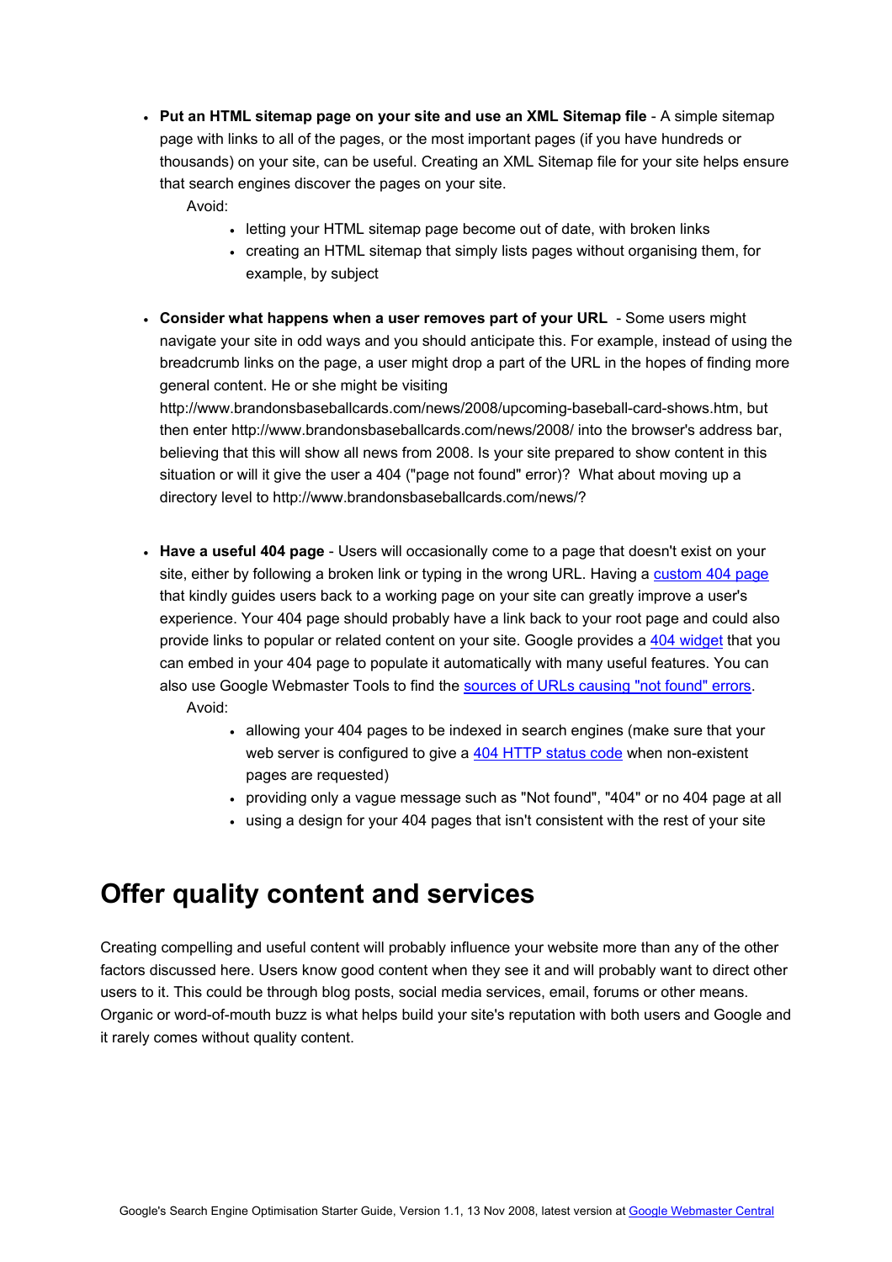- **Put an HTML sitemap page on your site and use an XML Sitemap file**  A simple sitemap page with links to all of the pages, or the most important pages (if you have hundreds or thousands) on your site, can be useful. Creating an XML Sitemap file for your site helps ensure that search engines discover the pages on your site.
	- Avoid:
		- letting your HTML sitemap page become out of date, with broken links
		- creating an HTML sitemap that simply lists pages without organising them, for example, by subject
- **Consider what happens when a user removes part of your URL**  Some users might navigate your site in odd ways and you should anticipate this. For example, instead of using the breadcrumb links on the page, a user might drop a part of the URL in the hopes of finding more general content. He or she might be visiting

http://www.brandonsbaseballcards.com/news/2008/upcoming-baseball-card-shows.htm, but then enter http://www.brandonsbaseballcards.com/news/2008/ into the browser's address bar, believing that this will show all news from 2008. Is your site prepared to show content in this situation or will it give the user a 404 ("page not found" error)? What about moving up a directory level to http://www.brandonsbaseballcards.com/news/?

- **Have a useful 404 page**  Users will occasionally come to a page that doesn't exist on your site, either by following a broken link or typing in the wrong URL. Having a [custom 404 page](http://www.google.com/support/webmasters/bin/answer.py?answer=93641) that kindly guides users back to a working page on your site can greatly improve a user's experience. Your 404 page should probably have a link back to your root page and could also provide links to popular or related content on your site. Google provides a [404 widget](http://googlewebmastercentral.blogspot.com/2008/08/make-your-404-pages-more-useful.html) that you can embed in your 404 page to populate it automatically with many useful features. You can also use Google Webmaster Tools to find the [sources of URLs causing "not found" errors](http://googlewebmastercentral.blogspot.com/2008/10/webmaster-tools-shows-crawl-error.html). Avoid:
	- allowing your 404 pages to be indexed in search engines (make sure that your web server is configured to give a [404 HTTP status code](http://www.w3.org/Protocols/rfc2616/rfc2616-sec10.html) when non-existent pages are requested)
	- providing only a vague message such as "Not found", "404" or no 404 page at all
	- using a design for your 404 pages that isn't consistent with the rest of your site

### **Offer quality content and services**

Creating compelling and useful content will probably influence your website more than any of the other factors discussed here. Users know good content when they see it and will probably want to direct other users to it. This could be through blog posts, social media services, email, forums or other means. Organic or word-of-mouth buzz is what helps build your site's reputation with both users and Google and it rarely comes without quality content.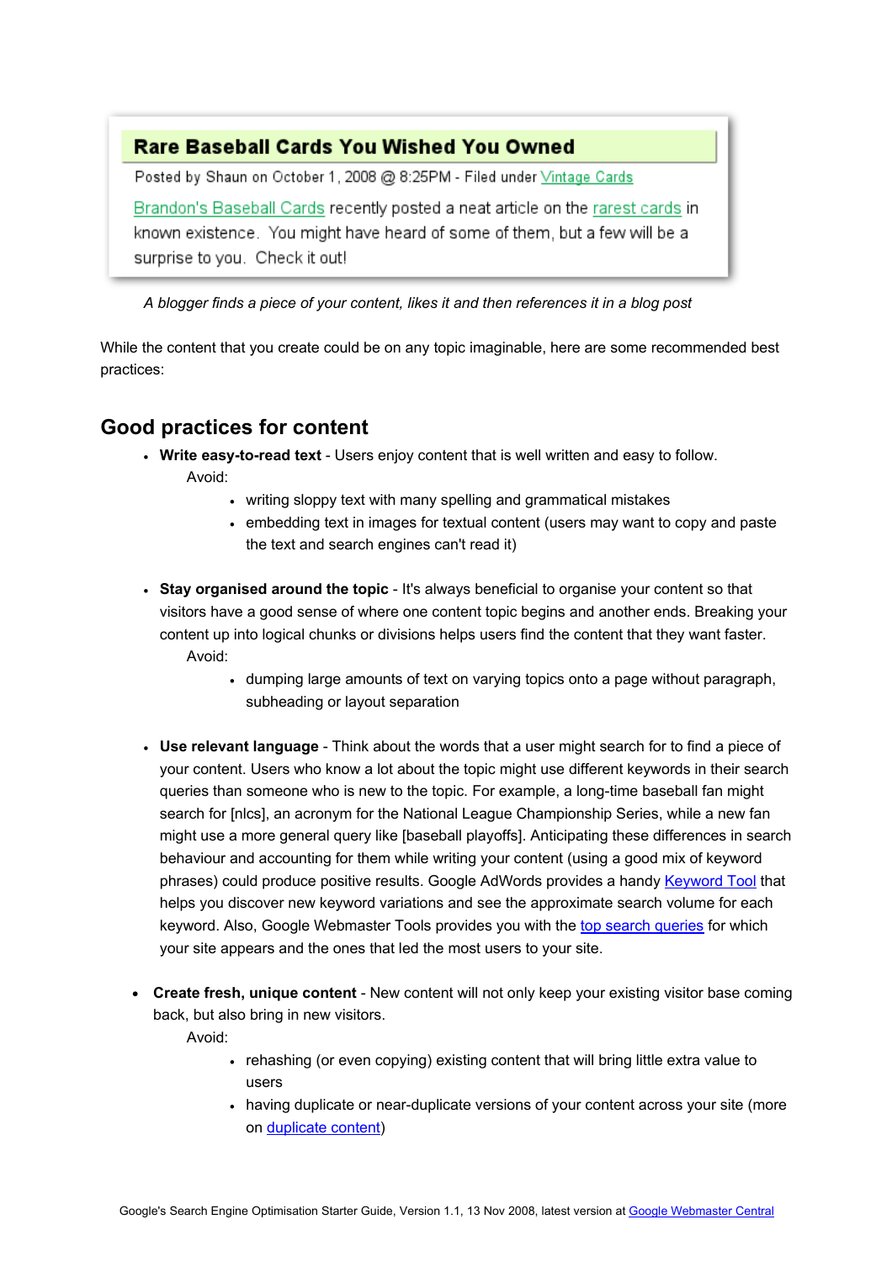#### Rare Baseball Cards You Wished You Owned

Posted by Shaun on October 1, 2008 @ 8:25PM - Filed under Vintage Cards

Brandon's Baseball Cards recently posted a neat article on the rarest cards in known existence. You might have heard of some of them, but a few will be a surprise to you. Check it out!

*A blogger finds a piece of your content, likes it and then references it in a blog post* 

While the content that you create could be on any topic imaginable, here are some recommended best practices:

#### **Good practices for content**

- **Write easy-to-read text**  Users enjoy content that is well written and easy to follow. Avoid:
	- writing sloppy text with many spelling and grammatical mistakes
	- embedding text in images for textual content (users may want to copy and paste the text and search engines can't read it)
- **Stay organised around the topic**  It's always beneficial to organise your content so that visitors have a good sense of where one content topic begins and another ends. Breaking your content up into logical chunks or divisions helps users find the content that they want faster. Avoid:
	- dumping large amounts of text on varying topics onto a page without paragraph, subheading or layout separation
- **Use relevant language**  Think about the words that a user might search for to find a piece of your content. Users who know a lot about the topic might use different keywords in their search queries than someone who is new to the topic. For example, a long-time baseball fan might search for [nlcs], an acronym for the National League Championship Series, while a new fan might use a more general query like [baseball playoffs]. Anticipating these differences in search behaviour and accounting for them while writing your content (using a good mix of keyword phrases) could produce positive results. Google AdWords provides a handy [Keyword Tool](https://adwords.google.com/select/KeywordToolExternal) that helps you discover new keyword variations and see the approximate search volume for each keyword. Also, Google Webmaster Tools provides you with the [top search queries](http://www.google.com/webmasters/edu/quickstartguide/sub1guide5.html) for which your site appears and the ones that led the most users to your site.
- **Create fresh, unique content**  New content will not only keep your existing visitor base coming back, but also bring in new visitors.

- rehashing (or even copying) existing content that will bring little extra value to users
- having duplicate or near-duplicate versions of your content across your site (more on [duplicate content\)](http://www.google.com/support/webmasters/bin/answer.py?answer=66359)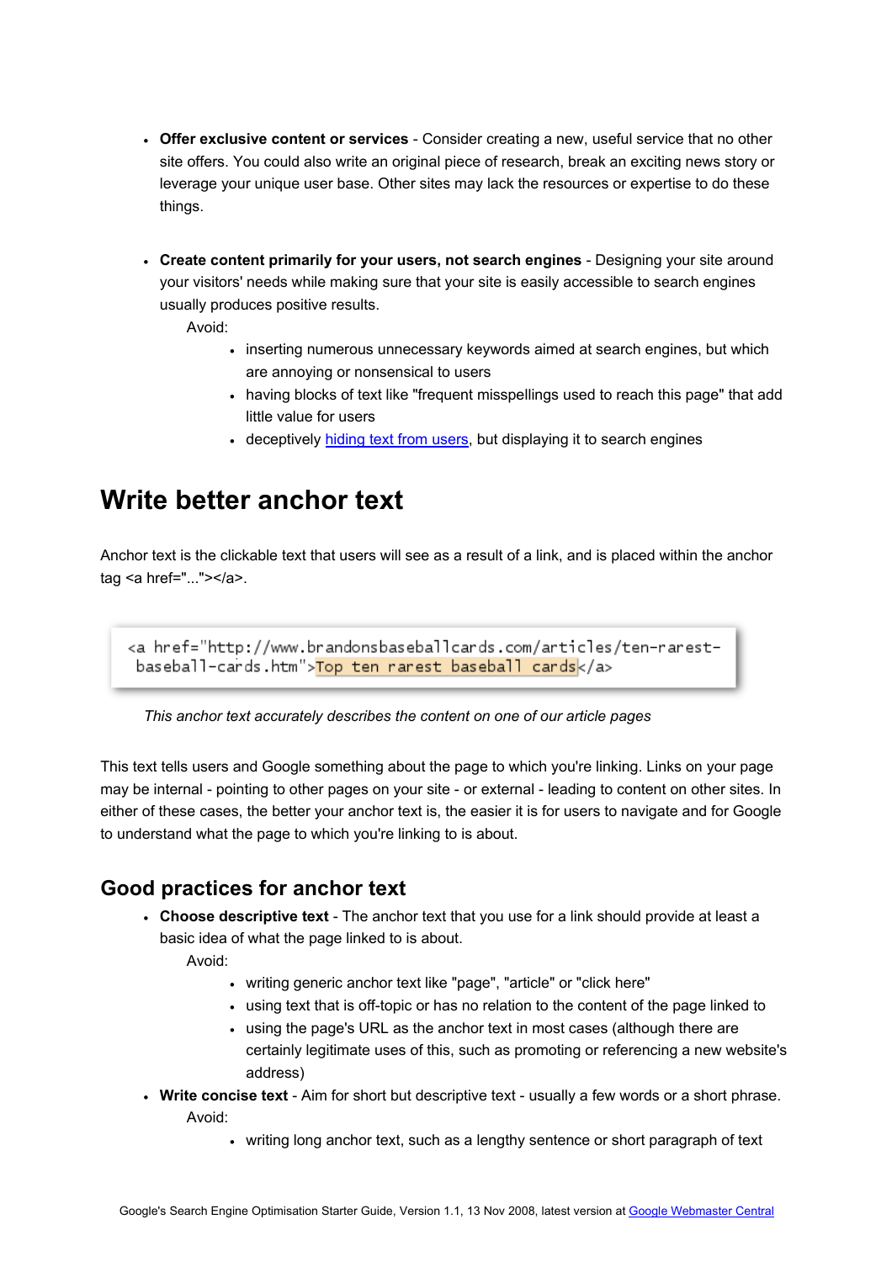- **Offer exclusive content or services**  Consider creating a new, useful service that no other site offers. You could also write an original piece of research, break an exciting news story or leverage your unique user base. Other sites may lack the resources or expertise to do these things.
- **Create content primarily for your users, not search engines**  Designing your site around your visitors' needs while making sure that your site is easily accessible to search engines usually produces positive results.

Avoid:

- inserting numerous unnecessary keywords aimed at search engines, but which are annoying or nonsensical to users
- having blocks of text like "frequent misspellings used to reach this page" that add little value for users
- deceptively [hiding text from users,](http://www.google.com/support/webmasters/bin/answer.py?answer=66353) but displaying it to search engines

## **Write better anchor text**

Anchor text is the clickable text that users will see as a result of a link, and is placed within the anchor tag <a href="..."></a>.

<a href="http://www.brandonsbaseballcards.com/articles/ten-rarestbaseball-cards.htm">Top ten rarest baseball cards</a>

*This anchor text accurately describes the content on one of our article pages* 

This text tells users and Google something about the page to which you're linking. Links on your page may be internal - pointing to other pages on your site - or external - leading to content on other sites. In either of these cases, the better your anchor text is, the easier it is for users to navigate and for Google to understand what the page to which you're linking to is about.

### **Good practices for anchor text**

• **Choose descriptive text** - The anchor text that you use for a link should provide at least a basic idea of what the page linked to is about.

- writing generic anchor text like "page", "article" or "click here"
- using text that is off-topic or has no relation to the content of the page linked to
- using the page's URL as the anchor text in most cases (although there are certainly legitimate uses of this, such as promoting or referencing a new website's address)
- **Write concise text**  Aim for short but descriptive text usually a few words or a short phrase. Avoid:
	- writing long anchor text, such as a lengthy sentence or short paragraph of text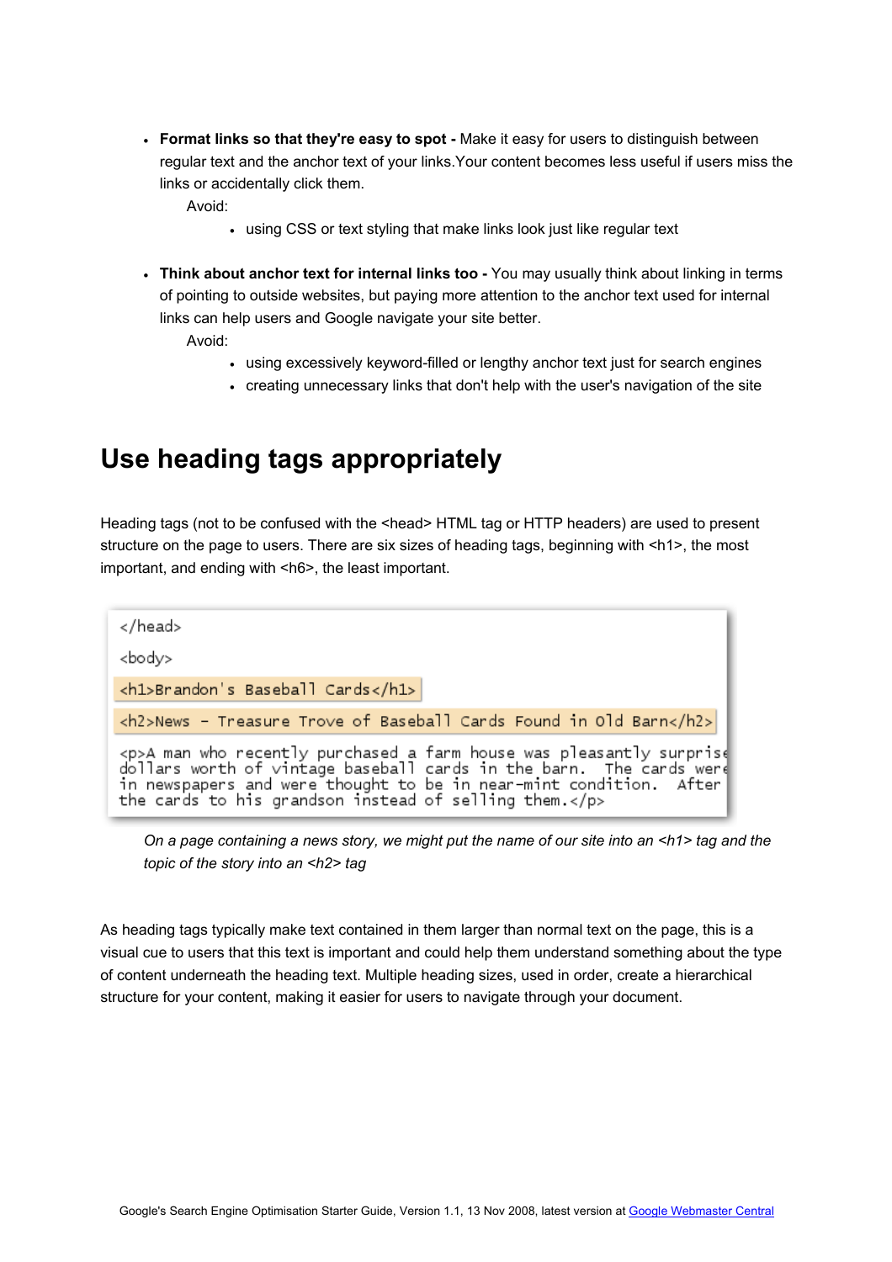• **Format links so that they're easy to spot -** Make it easy for users to distinguish between regular text and the anchor text of your links.Your content becomes less useful if users miss the links or accidentally click them.

Avoid:

- using CSS or text styling that make links look just like regular text
- **Think about anchor text for internal links too** You may usually think about linking in terms of pointing to outside websites, but paying more attention to the anchor text used for internal links can help users and Google navigate your site better.

Avoid:

- using excessively keyword-filled or lengthy anchor text just for search engines
- creating unnecessary links that don't help with the user's navigation of the site

### **Use heading tags appropriately**

Heading tags (not to be confused with the <head> HTML tag or HTTP headers) are used to present structure on the page to users. There are six sizes of heading tags, beginning with <h1>, the most important, and ending with <h6>, the least important.



*On a page containing a news story, we might put the name of our site into an <h1> tag and the topic of the story into an <h2> tag*

As heading tags typically make text contained in them larger than normal text on the page, this is a visual cue to users that this text is important and could help them understand something about the type of content underneath the heading text. Multiple heading sizes, used in order, create a hierarchical structure for your content, making it easier for users to navigate through your document.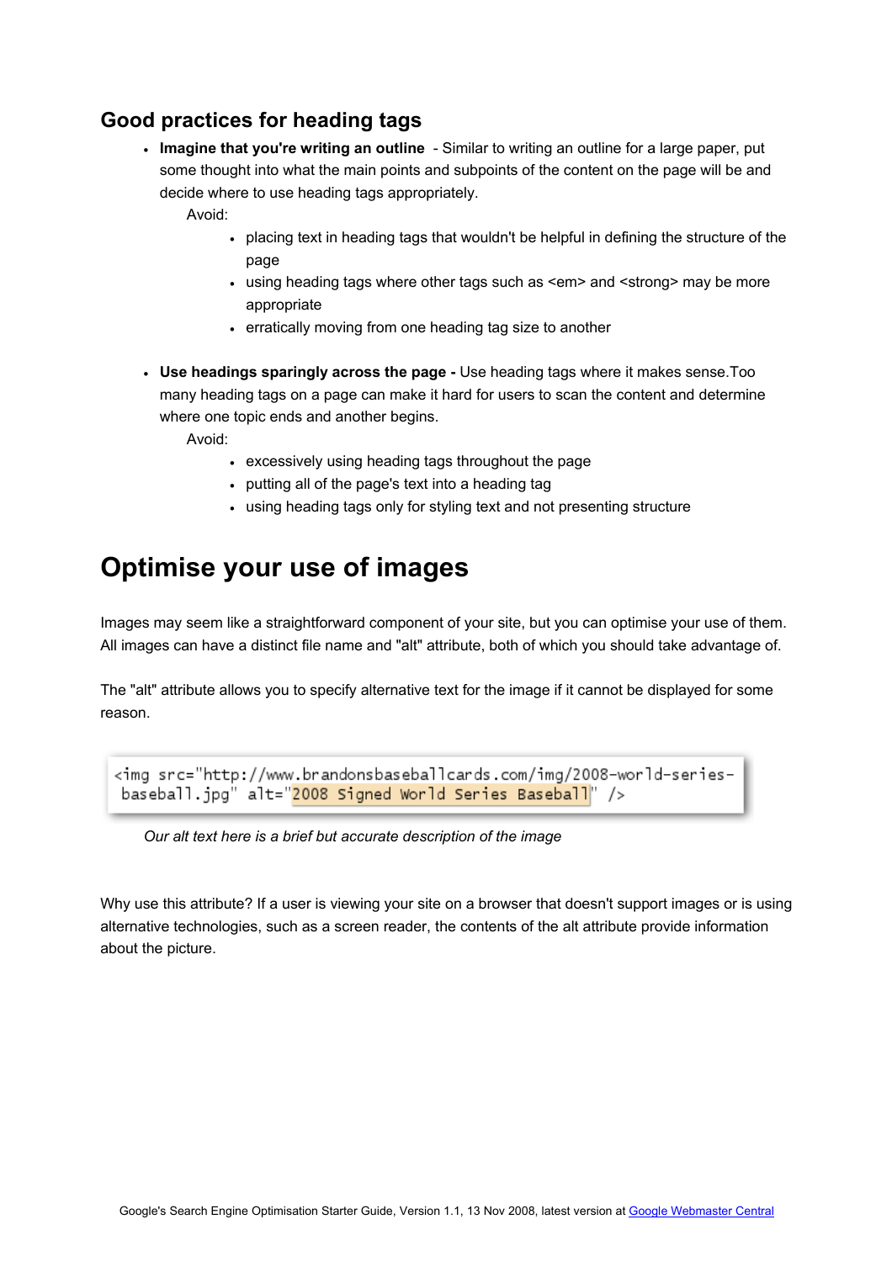#### **Good practices for heading tags**

• **Imagine that you're writing an outline** - Similar to writing an outline for a large paper, put some thought into what the main points and subpoints of the content on the page will be and decide where to use heading tags appropriately.

Avoid:

- placing text in heading tags that wouldn't be helpful in defining the structure of the page
- using heading tags where other tags such as <em> and <strong> may be more appropriate
- erratically moving from one heading tag size to another
- **Use headings sparingly across the page** Use heading tags where it makes sense.Too many heading tags on a page can make it hard for users to scan the content and determine where one topic ends and another begins.

Avoid:

- excessively using heading tags throughout the page
- putting all of the page's text into a heading tag
- using heading tags only for styling text and not presenting structure

### **Optimise your use of images**

Images may seem like a straightforward component of your site, but you can optimise your use of them. All images can have a distinct file name and "alt" attribute, both of which you should take advantage of.

The "alt" attribute allows you to specify alternative text for the image if it cannot be displayed for some reason.

<img src="http://www.brandonsbaseballcards.com/img/2008-world-seriesbaseball.jpg" alt="2008 Signed World Series Baseball" />

*Our alt text here is a brief but accurate description of the image* 

Why use this attribute? If a user is viewing your site on a browser that doesn't support images or is using alternative technologies, such as a screen reader, the contents of the alt attribute provide information about the picture.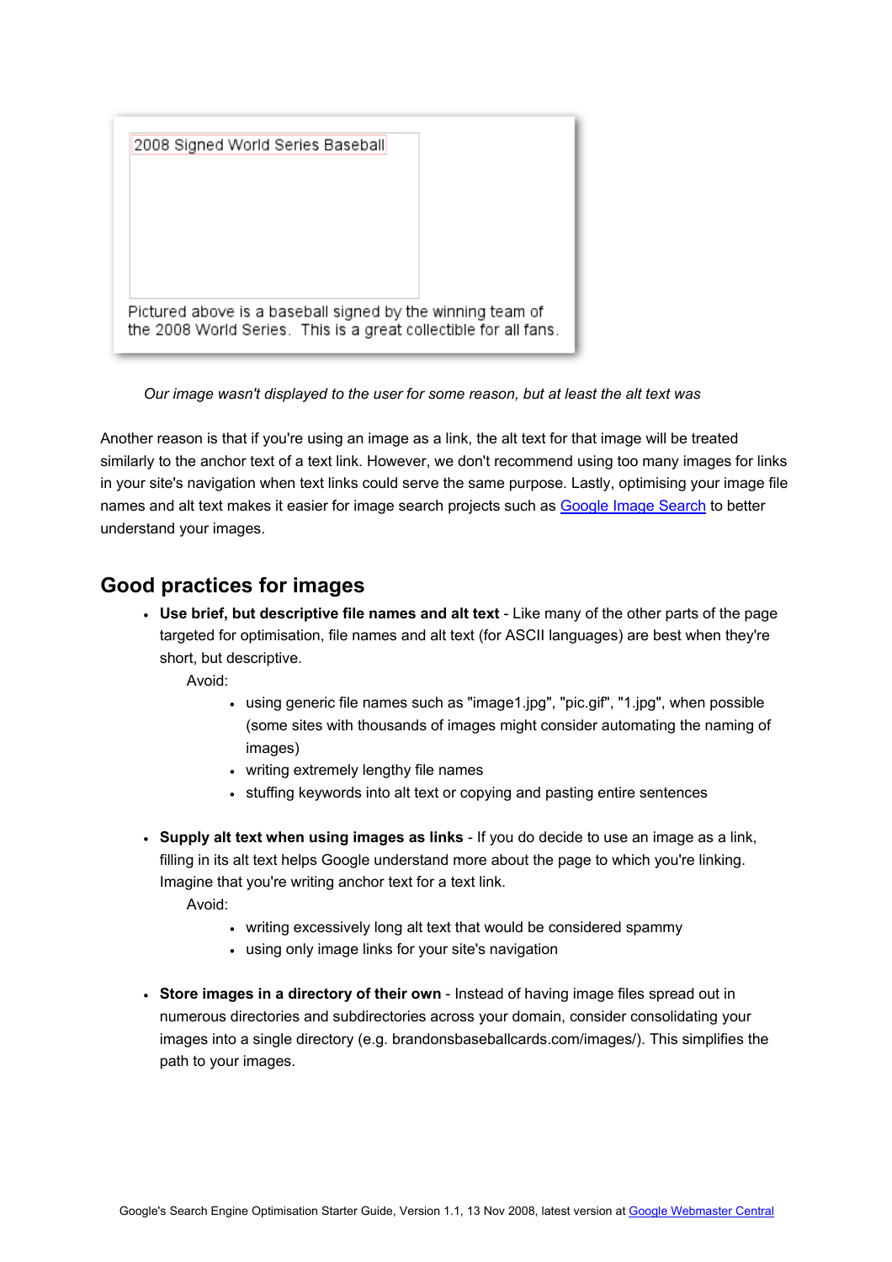

*Our image wasn't displayed to the user for some reason, but at least the alt text was* 

Another reason is that if you're using an image as a link, the alt text for that image will be treated similarly to the anchor text of a text link. However, we don't recommend using too many images for links in your site's navigation when text links could serve the same purpose. Lastly, optimising your image file names and alt text makes it easier for image search projects such as [Google Image Search](http://images.google.com/) to better understand your images.

### **Good practices for images**

• **Use brief, but descriptive file names and alt text** - Like many of the other parts of the page targeted for optimisation, file names and alt text (for ASCII languages) are best when they're short, but descriptive.

Avoid:

- using generic file names such as "image1.jpg", "pic.gif", "1.jpg", when possible (some sites with thousands of images might consider automating the naming of images)
- writing extremely lengthy file names
- stuffing keywords into alt text or copying and pasting entire sentences
- **Supply alt text when using images as links**  If you do decide to use an image as a link, filling in its alt text helps Google understand more about the page to which you're linking. Imagine that you're writing anchor text for a text link.

- writing excessively long alt text that would be considered spammy
- using only image links for your site's navigation
- **Store images in a directory of their own**  Instead of having image files spread out in numerous directories and subdirectories across your domain, consider consolidating your images into a single directory (e.g. brandonsbaseballcards.com/images/). This simplifies the path to your images.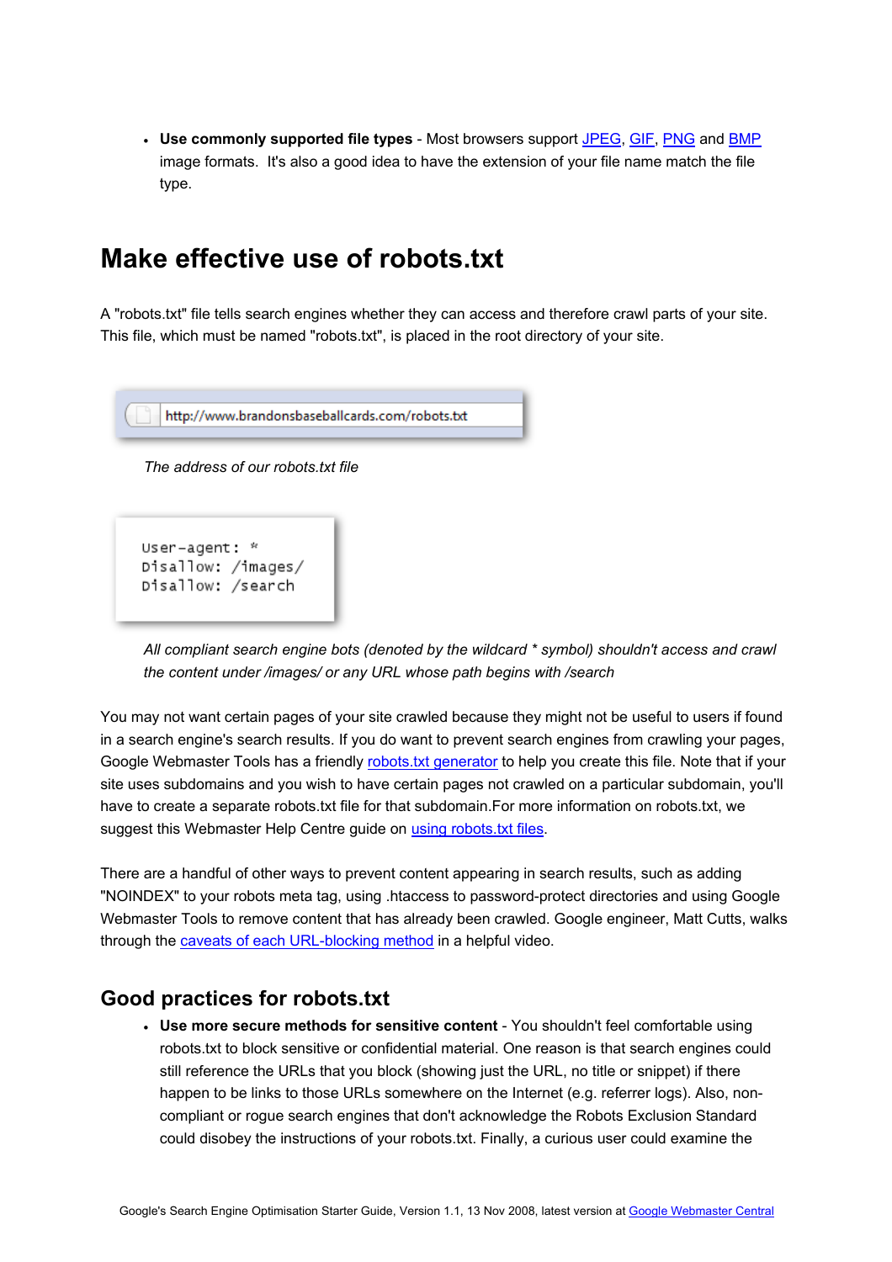• **Use commonly supported file types** - Most browsers support [JPEG](http://en.wikipedia.org/wiki/JPEG), [GIF,](http://en.wikipedia.org/wiki/GIF) [PNG](http://en.wikipedia.org/wiki/Portable_Network_Graphics) and [BMP](http://en.wikipedia.org/wiki/BMP_file_format) image formats. It's also a good idea to have the extension of your file name match the file type.

### **Make effective use of robots.txt**

A "robots.txt" file tells search engines whether they can access and therefore crawl parts of your site. This file, which must be named "robots.txt", is placed in the root directory of your site.



*The address of our robots.txt file* 

```
User-agent: *Disallow: /images/
Disallow: /search
```
*All compliant search engine bots (denoted by the wildcard \* symbol) shouldn't access and crawl the content under /images/ or any URL whose path begins with /search* 

You may not want certain pages of your site crawled because they might not be useful to users if found in a search engine's search results. If you do want to prevent search engines from crawling your pages, Google Webmaster Tools has a friendly [robots.txt generator](http://googlewebmastercentral.blogspot.com/2008/03/speaking-language-of-robots.html) to help you create this file. Note that if your site uses subdomains and you wish to have certain pages not crawled on a particular subdomain, you'll have to create a separate robots.txt file for that subdomain.For more information on robots.txt, we suggest this Webmaster Help Centre guide on [using robots.txt files.](http://www.google.com/support/webmasters/bin/answer.py?answer=40360)

There are a handful of other ways to prevent content appearing in search results, such as adding "NOINDEX" to your robots meta tag, using .htaccess to password-protect directories and using Google Webmaster Tools to remove content that has already been crawled. Google engineer, Matt Cutts, walks through the [caveats of each URL-blocking method](http://googlewebmastercentral.blogspot.com/2008/01/remove-your-content-from-google.html) in a helpful video.

### **Good practices for robots.txt**

• **Use more secure methods for sensitive content** - You shouldn't feel comfortable using robots.txt to block sensitive or confidential material. One reason is that search engines could still reference the URLs that you block (showing just the URL, no title or snippet) if there happen to be links to those URLs somewhere on the Internet (e.g. referrer logs). Also, noncompliant or rogue search engines that don't acknowledge the Robots Exclusion Standard could disobey the instructions of your robots.txt. Finally, a curious user could examine the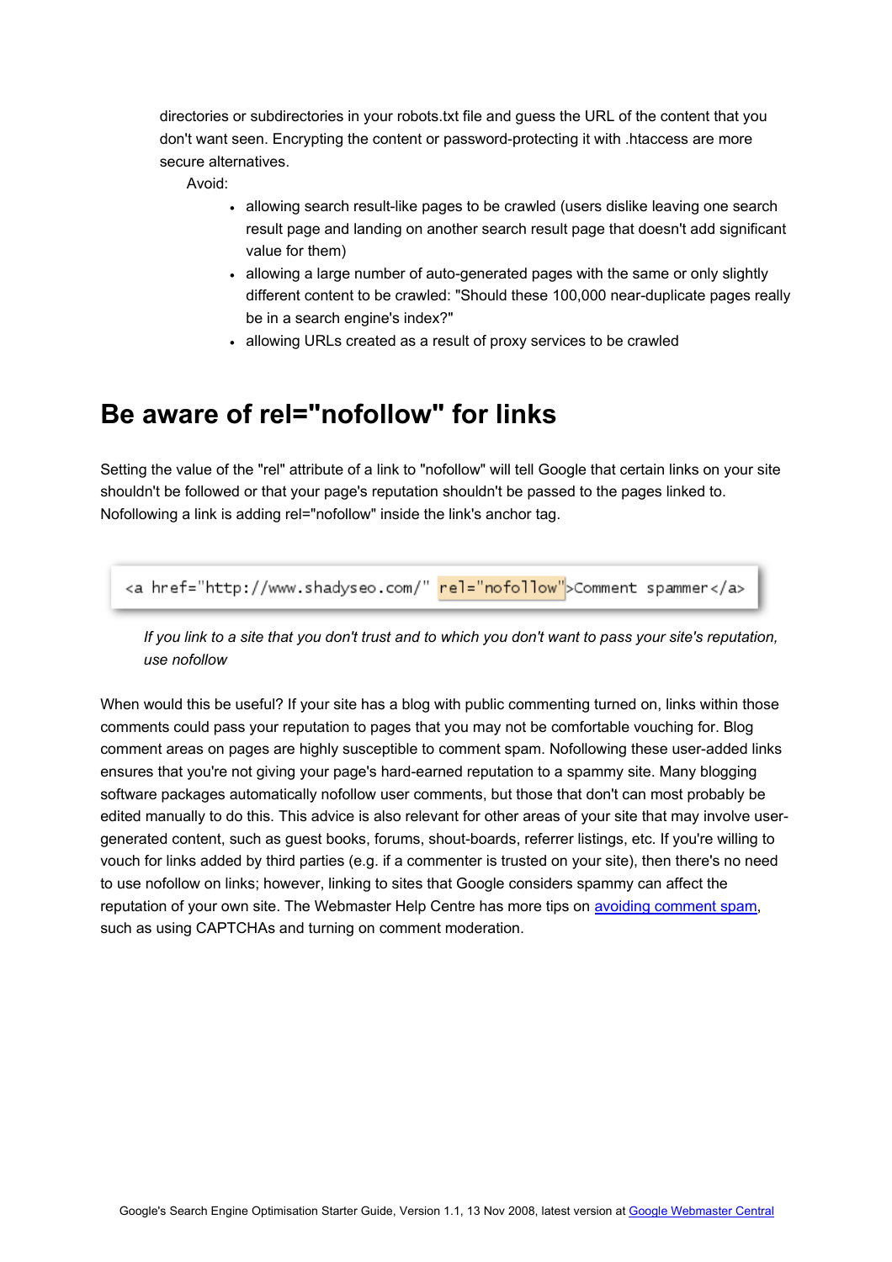directories or subdirectories in your robots.txt file and guess the URL of the content that you don't want seen. Encrypting the content or password-protecting it with .htaccess are more secure alternatives.

Avoid:

- allowing search result-like pages to be crawled (users dislike leaving one search result page and landing on another search result page that doesn't add significant value for them)
- allowing a large number of auto-generated pages with the same or only slightly different content to be crawled: "Should these 100,000 near-duplicate pages really be in a search engine's index?"
- allowing URLs created as a result of proxy services to be crawled

### **Be aware of rel="nofollow" for links**

Setting the value of the "rel" attribute of a link to "nofollow" will tell Google that certain links on your site shouldn't be followed or that your page's reputation shouldn't be passed to the pages linked to. Nofollowing a link is adding rel="nofollow" inside the link's anchor tag.

<a href="http://www.shadyseo.com/" rel="nofollow">Comment spammer</a>

*If you link to a site that you don't trust and to which you don't want to pass your site's reputation, use nofollow* 

When would this be useful? If your site has a blog with public commenting turned on, links within those comments could pass your reputation to pages that you may not be comfortable vouching for. Blog comment areas on pages are highly susceptible to comment spam. Nofollowing these user-added links ensures that you're not giving your page's hard-earned reputation to a spammy site. Many blogging software packages automatically nofollow user comments, but those that don't can most probably be edited manually to do this. This advice is also relevant for other areas of your site that may involve usergenerated content, such as guest books, forums, shout-boards, referrer listings, etc. If you're willing to vouch for links added by third parties (e.g. if a commenter is trusted on your site), then there's no need to use nofollow on links; however, linking to sites that Google considers spammy can affect the reputation of your own site. The Webmaster Help Centre has more tips on [avoiding comment spam](http://www.google.com/support/webmasters/bin/answer.py?answer=81749), such as using CAPTCHAs and turning on comment moderation.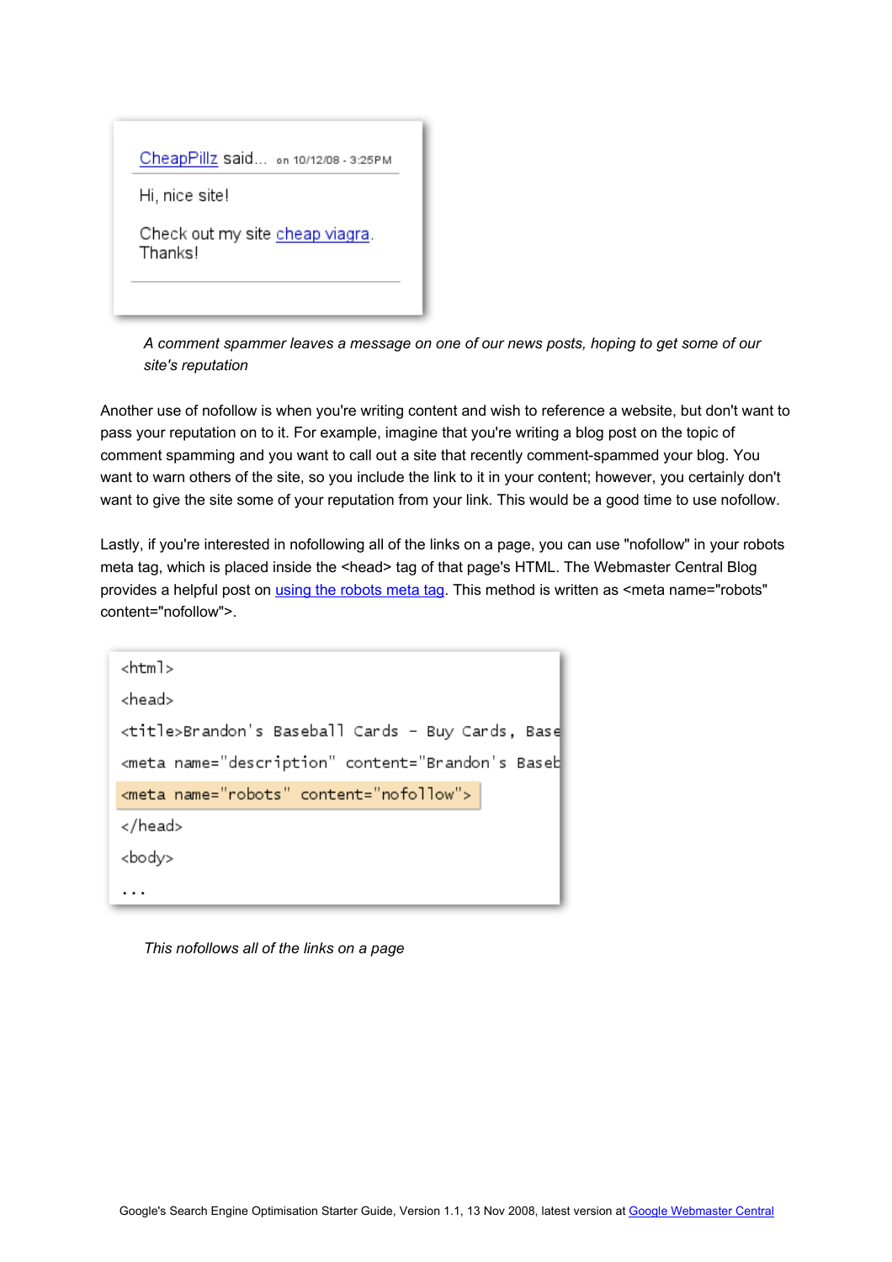#### CheapPillz said... on 10/12/08 - 3:25PM

Hi, nice site!

Check out my site cheap viagra. Thanks!

*A comment spammer leaves a message on one of our news posts, hoping to get some of our site's reputation* 

Another use of nofollow is when you're writing content and wish to reference a website, but don't want to pass your reputation on to it. For example, imagine that you're writing a blog post on the topic of comment spamming and you want to call out a site that recently comment-spammed your blog. You want to warn others of the site, so you include the link to it in your content; however, you certainly don't want to give the site some of your reputation from your link. This would be a good time to use nofollow.

Lastly, if you're interested in nofollowing all of the links on a page, you can use "nofollow" in your robots meta tag, which is placed inside the <head> tag of that page's HTML. The Webmaster Central Blog provides a helpful post on [using the robots meta tag.](http://googlewebmastercentral.blogspot.com/2007/03/using-robots-meta-tag.html) This method is written as <meta name="robots" content="nofollow">.

| $<$ htm $\exists$ >                                       |  |  |
|-----------------------------------------------------------|--|--|
| <head></head>                                             |  |  |
| <title>Brandon's Baseball Cards - Buy Cards, Base</title> |  |  |
| <meta content="nofollow" name="description" robots"=""/>  |  |  |
|                                                           |  |  |
| <body></body>                                             |  |  |
|                                                           |  |  |

*This nofollows all of the links on a page*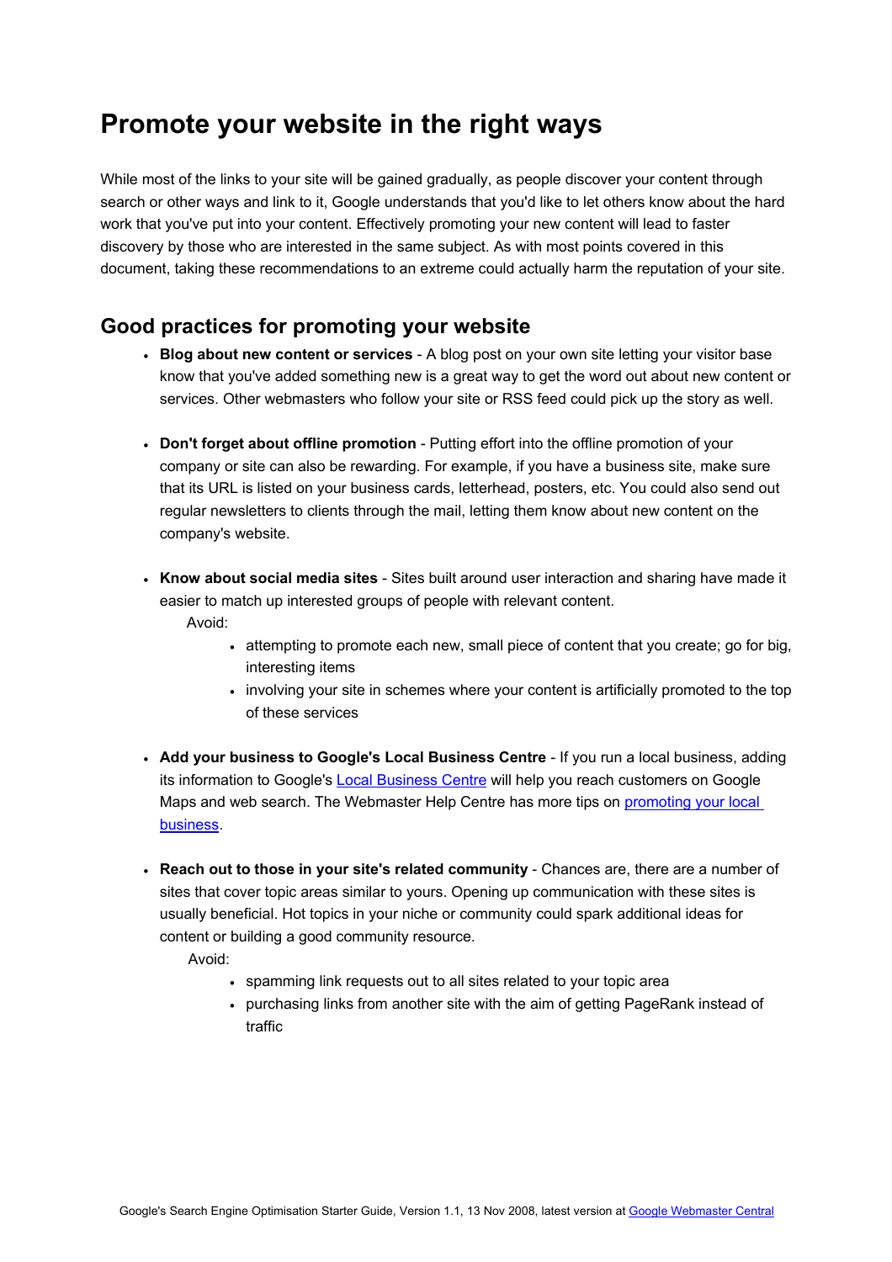## **Promote your website in the right ways**

While most of the links to your site will be gained gradually, as people discover your content through search or other ways and link to it, Google understands that you'd like to let others know about the hard work that you've put into your content. Effectively promoting your new content will lead to faster discovery by those who are interested in the same subject. As with most points covered in this document, taking these recommendations to an extreme could actually harm the reputation of your site.

### **Good practices for promoting your website**

- **Blog about new content or services**  A blog post on your own site letting your visitor base know that you've added something new is a great way to get the word out about new content or services. Other webmasters who follow your site or RSS feed could pick up the story as well.
- **Don't forget about offline promotion**  Putting effort into the offline promotion of your company or site can also be rewarding. For example, if you have a business site, make sure that its URL is listed on your business cards, letterhead, posters, etc. You could also send out regular newsletters to clients through the mail, letting them know about new content on the company's website.
- **Know about social media sites**  Sites built around user interaction and sharing have made it easier to match up interested groups of people with relevant content. Avoid:
	- attempting to promote each new, small piece of content that you create; go for big, interesting items
	- involving your site in schemes where your content is artificially promoted to the top of these services
- **Add your business to Google's Local Business Centre**  If you run a local business, adding its information to Google's [Local Business Centre](https://www.google.com/local/add) will help you reach customers on Google Maps and web search. The Webmaster Help Centre has more tips on [promoting your local](http://www.google.com/support/webmasters/bin/answer.py?answer=92319)  [business](http://www.google.com/support/webmasters/bin/answer.py?answer=92319).
- **Reach out to those in your site's related community**  Chances are, there are a number of sites that cover topic areas similar to yours. Opening up communication with these sites is usually beneficial. Hot topics in your niche or community could spark additional ideas for content or building a good community resource.

- spamming link requests out to all sites related to your topic area
- purchasing links from another site with the aim of getting PageRank instead of traffic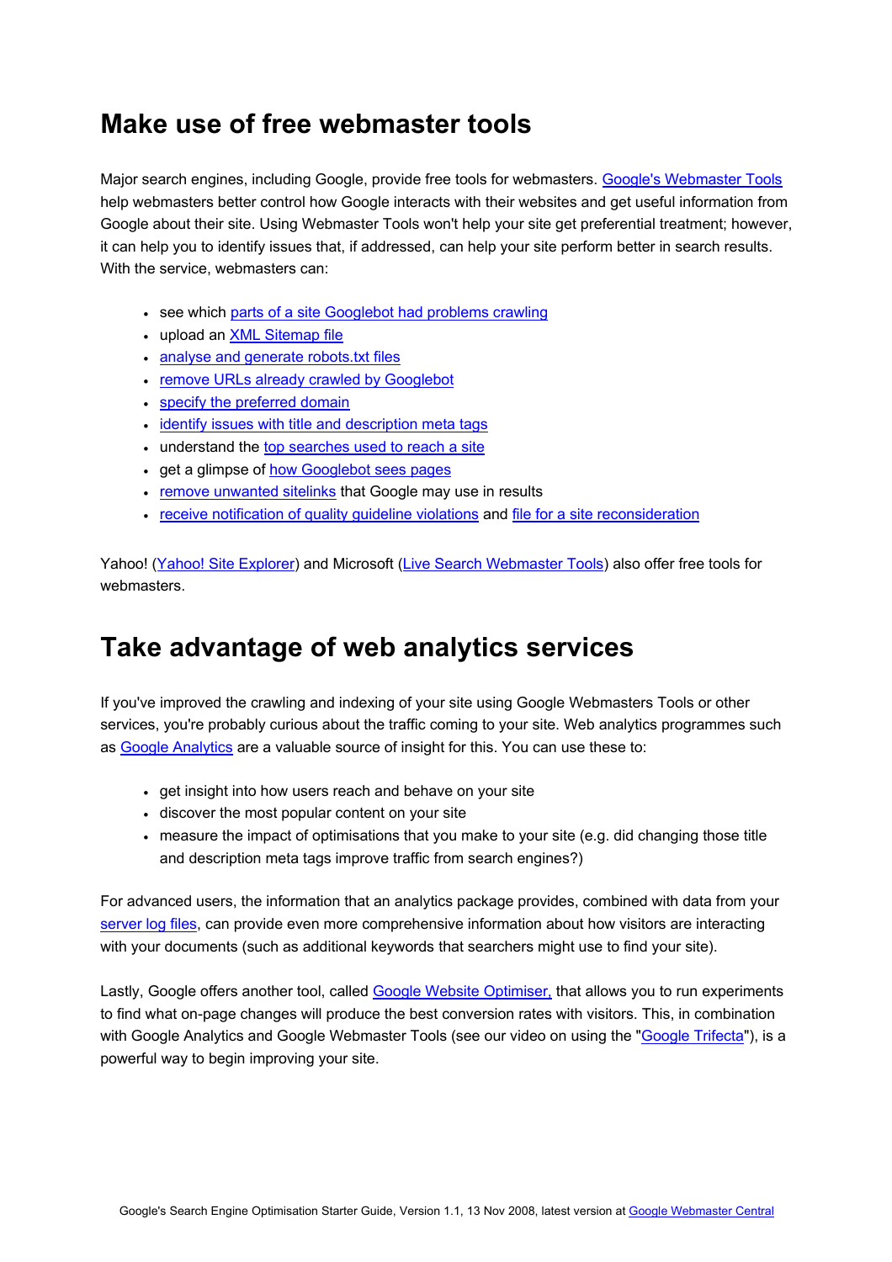### **Make use of free webmaster tools**

Major search engines, including Google, provide free tools for webmasters. [Google's Webmaster Tools](http://www.google.com/webmasters/tools/) help webmasters better control how Google interacts with their websites and get useful information from Google about their site. Using Webmaster Tools won't help your site get preferential treatment; however, it can help you to identify issues that, if addressed, can help your site perform better in search results. With the service, webmasters can:

- see which [parts of a site Googlebot had problems crawling](http://www.google.com/support/webmasters/bin/answer.py?answer=35120)
- upload an **XML** Sitemap file
- [analyse and generate robots.txt files](http://www.google.com/support/webmasters/bin/answer.py?answer=35237)
- remove URLs already crawled by Googlebot
- [specify the preferred domain](http://www.google.com/support/webmasters/bin/answer.py?answer=44231)
- [identify issues with title and description meta tags](http://googlewebmastercentral.blogspot.com/2007/12/new-content-analysis-and-sitemap.html)
- understand the [top searches used to reach a site](http://www.google.com/support/webmasters/bin/answer.py?answer=35252)
- get a glimpse of [how Googlebot sees pages](http://www.google.com/support/webmasters/bin/answer.py?answer=35255)
- [remove unwanted sitelinks](http://www.google.com/support/webmasters/bin/answer.py?answer=47334) that Google may use in results
- [receive notification of quality guideline violations](http://www.google.com/support/webmasters/bin/answer.py?answer=40052) and [file for a site reconsideration](http://www.google.com/support/webmasters/bin/answer.py?answer=35843)

Yahoo! ([Yahoo! Site Explorer](https://siteexplorer.search.yahoo.com/)) and Microsoft ([Live Search Webmaster Tools\)](http://webmaster.live.com/) also offer free tools for webmasters.

### **Take advantage of web analytics services**

If you've improved the crawling and indexing of your site using Google Webmasters Tools or other services, you're probably curious about the traffic coming to your site. Web analytics programmes such as [Google Analytics](http://www.google.com/analytics/) are a valuable source of insight for this. You can use these to:

- get insight into how users reach and behave on your site
- discover the most popular content on your site
- measure the impact of optimisations that you make to your site (e.g. did changing those title and description meta tags improve traffic from search engines?)

For advanced users, the information that an analytics package provides, combined with data from your [server log files](http://httpd.apache.org/docs/1.3/logs.html), can provide even more comprehensive information about how visitors are interacting with your documents (such as additional keywords that searchers might use to find your site).

Lastly, Google offers another tool, called [Google Website Optimiser,](http://www.google.com/websiteoptimizer) that allows you to run experiments to find what on-page changes will produce the best conversion rates with visitors. This, in combination with Google Analytics and Google Webmaster Tools (see our video on using the "[Google Trifecta](http://www.youtube.com/watch?v=9yKjrdcC8wA)"), is a powerful way to begin improving your site.